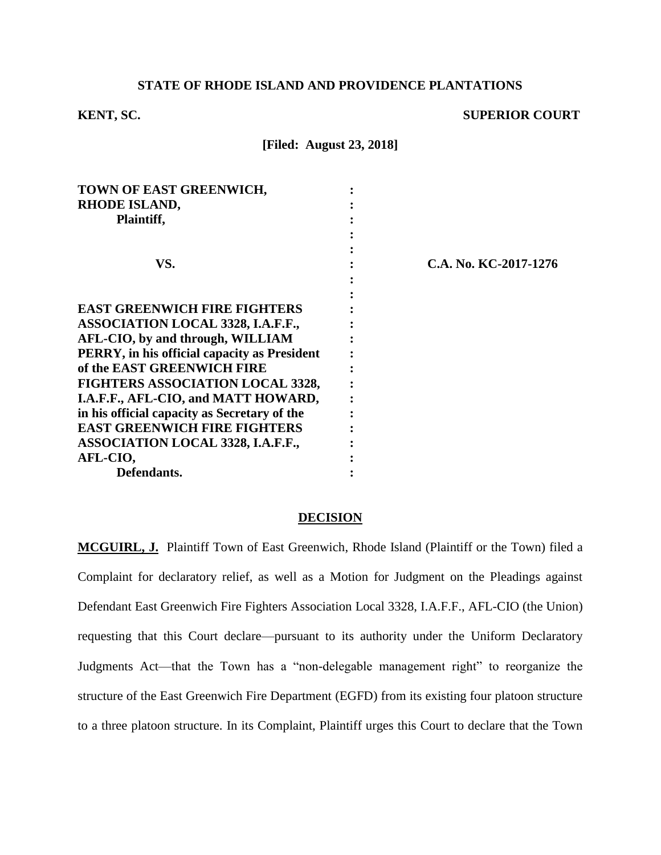# **STATE OF RHODE ISLAND AND PROVIDENCE PLANTATIONS**

# **KENT, SC.** SUPERIOR COURT

**[Filed: August 23, 2018]**

| TOWN OF EAST GREENWICH,                      |                       |
|----------------------------------------------|-----------------------|
| RHODE ISLAND,                                |                       |
| Plaintiff,                                   |                       |
|                                              |                       |
|                                              |                       |
| VS.                                          | C.A. No. KC-2017-1276 |
|                                              |                       |
|                                              |                       |
| <b>EAST GREENWICH FIRE FIGHTERS</b>          |                       |
| <b>ASSOCIATION LOCAL 3328, I.A.F.F.,</b>     |                       |
| AFL-CIO, by and through, WILLIAM             |                       |
| PERRY, in his official capacity as President |                       |
| of the EAST GREENWICH FIRE                   |                       |
| <b>FIGHTERS ASSOCIATION LOCAL 3328,</b>      |                       |
| I.A.F.F., AFL-CIO, and MATT HOWARD,          |                       |
| in his official capacity as Secretary of the |                       |
| <b>EAST GREENWICH FIRE FIGHTERS</b>          |                       |
| <b>ASSOCIATION LOCAL 3328, I.A.F.F.,</b>     |                       |
| AFL-CIO,                                     |                       |
| Defendants.                                  |                       |
|                                              |                       |

#### **DECISION**

**MCGUIRL, J.** Plaintiff Town of East Greenwich, Rhode Island (Plaintiff or the Town) filed a Complaint for declaratory relief, as well as a Motion for Judgment on the Pleadings against Defendant East Greenwich Fire Fighters Association Local 3328, I.A.F.F., AFL-CIO (the Union) requesting that this Court declare—pursuant to its authority under the Uniform Declaratory Judgments Act—that the Town has a "non-delegable management right" to reorganize the structure of the East Greenwich Fire Department (EGFD) from its existing four platoon structure to a three platoon structure. In its Complaint, Plaintiff urges this Court to declare that the Town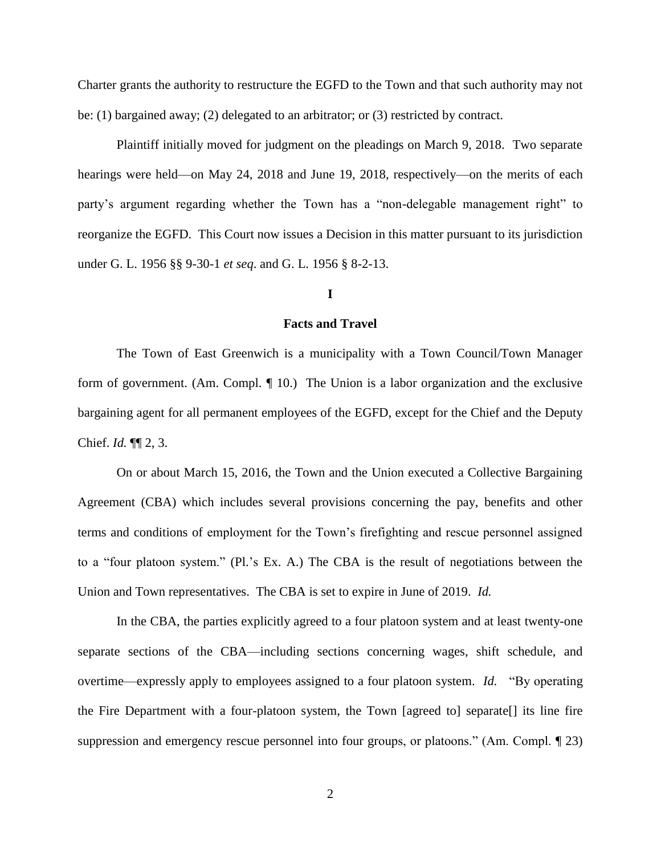Charter grants the authority to restructure the EGFD to the Town and that such authority may not be: (1) bargained away; (2) delegated to an arbitrator; or (3) restricted by contract.

Plaintiff initially moved for judgment on the pleadings on March 9, 2018. Two separate hearings were held—on May 24, 2018 and June 19, 2018, respectively—on the merits of each party's argument regarding whether the Town has a "non-delegable management right" to reorganize the EGFD. This Court now issues a Decision in this matter pursuant to its jurisdiction under G. L. 1956 §§ 9-30-1 *et seq*. and G. L. 1956 § 8-2-13.

# **I**

# **Facts and Travel**

The Town of East Greenwich is a municipality with a Town Council/Town Manager form of government. (Am. Compl. ¶ 10.) The Union is a labor organization and the exclusive bargaining agent for all permanent employees of the EGFD, except for the Chief and the Deputy Chief. *Id.* ¶¶ 2, 3.

On or about March 15, 2016, the Town and the Union executed a Collective Bargaining Agreement (CBA) which includes several provisions concerning the pay, benefits and other terms and conditions of employment for the Town's firefighting and rescue personnel assigned to a "four platoon system." (Pl.'s Ex. A.) The CBA is the result of negotiations between the Union and Town representatives. The CBA is set to expire in June of 2019. *Id.*

In the CBA, the parties explicitly agreed to a four platoon system and at least twenty-one separate sections of the CBA—including sections concerning wages, shift schedule, and overtime—expressly apply to employees assigned to a four platoon system. *Id.* "By operating the Fire Department with a four-platoon system, the Town [agreed to] separate[] its line fire suppression and emergency rescue personnel into four groups, or platoons." (Am. Compl. ¶ 23)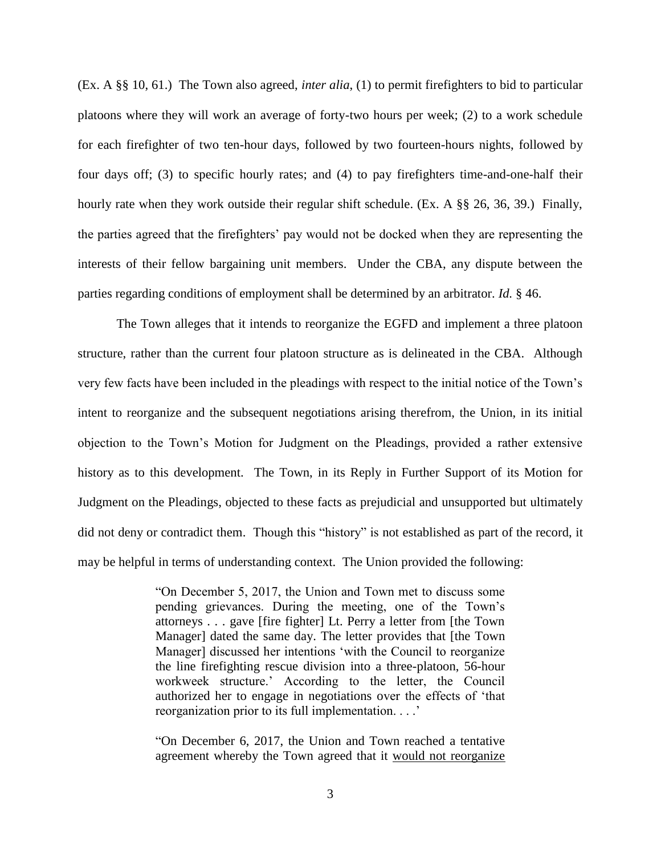(Ex. A §§ 10, 61.) The Town also agreed, *inter alia*, (1) to permit firefighters to bid to particular platoons where they will work an average of forty-two hours per week; (2) to a work schedule for each firefighter of two ten-hour days, followed by two fourteen-hours nights, followed by four days off; (3) to specific hourly rates; and (4) to pay firefighters time-and-one-half their hourly rate when they work outside their regular shift schedule. (Ex. A §§ 26, 36, 39.) Finally, the parties agreed that the firefighters' pay would not be docked when they are representing the interests of their fellow bargaining unit members. Under the CBA, any dispute between the parties regarding conditions of employment shall be determined by an arbitrator. *Id.* § 46.

The Town alleges that it intends to reorganize the EGFD and implement a three platoon structure, rather than the current four platoon structure as is delineated in the CBA. Although very few facts have been included in the pleadings with respect to the initial notice of the Town's intent to reorganize and the subsequent negotiations arising therefrom, the Union, in its initial objection to the Town's Motion for Judgment on the Pleadings, provided a rather extensive history as to this development. The Town, in its Reply in Further Support of its Motion for Judgment on the Pleadings, objected to these facts as prejudicial and unsupported but ultimately did not deny or contradict them. Though this "history" is not established as part of the record, it may be helpful in terms of understanding context. The Union provided the following:

> "On December 5, 2017, the Union and Town met to discuss some pending grievances. During the meeting, one of the Town's attorneys . . . gave [fire fighter] Lt. Perry a letter from [the Town Manager] dated the same day. The letter provides that [the Town Manager] discussed her intentions 'with the Council to reorganize the line firefighting rescue division into a three-platoon, 56-hour workweek structure.' According to the letter, the Council authorized her to engage in negotiations over the effects of 'that reorganization prior to its full implementation. . . .'

> "On December 6, 2017, the Union and Town reached a tentative agreement whereby the Town agreed that it would not reorganize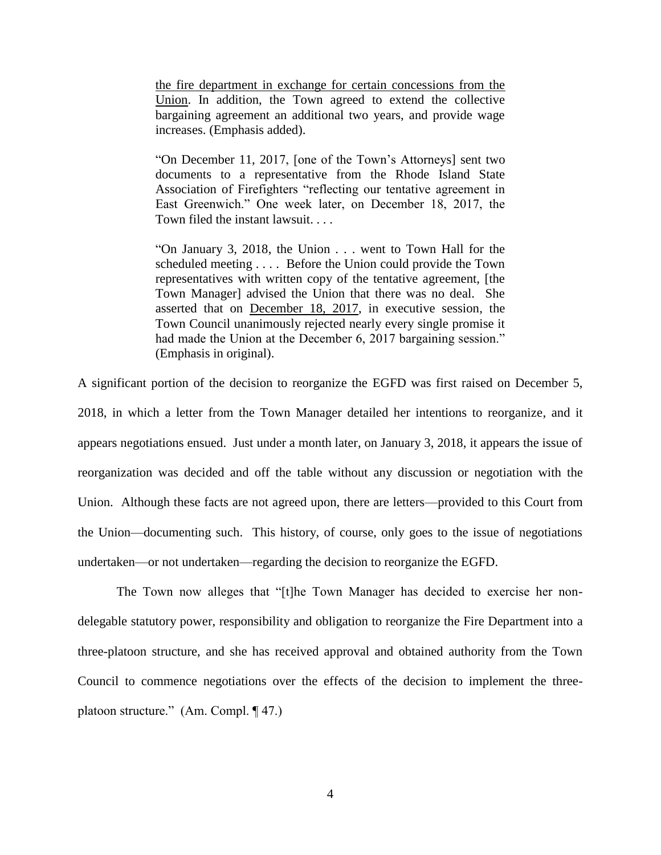the fire department in exchange for certain concessions from the Union. In addition, the Town agreed to extend the collective bargaining agreement an additional two years, and provide wage increases. (Emphasis added).

"On December 11, 2017, [one of the Town's Attorneys] sent two documents to a representative from the Rhode Island State Association of Firefighters "reflecting our tentative agreement in East Greenwich." One week later, on December 18, 2017, the Town filed the instant lawsuit. . . .

"On January 3, 2018, the Union . . . went to Town Hall for the scheduled meeting . . . . Before the Union could provide the Town representatives with written copy of the tentative agreement, [the Town Manager] advised the Union that there was no deal. She asserted that on December 18, 2017, in executive session, the Town Council unanimously rejected nearly every single promise it had made the Union at the December 6, 2017 bargaining session." (Emphasis in original).

A significant portion of the decision to reorganize the EGFD was first raised on December 5,

2018, in which a letter from the Town Manager detailed her intentions to reorganize, and it appears negotiations ensued. Just under a month later, on January 3, 2018, it appears the issue of reorganization was decided and off the table without any discussion or negotiation with the Union. Although these facts are not agreed upon, there are letters—provided to this Court from the Union—documenting such. This history, of course, only goes to the issue of negotiations undertaken—or not undertaken—regarding the decision to reorganize the EGFD.

The Town now alleges that "[t]he Town Manager has decided to exercise her nondelegable statutory power, responsibility and obligation to reorganize the Fire Department into a three-platoon structure, and she has received approval and obtained authority from the Town Council to commence negotiations over the effects of the decision to implement the threeplatoon structure." (Am. Compl. ¶ 47.)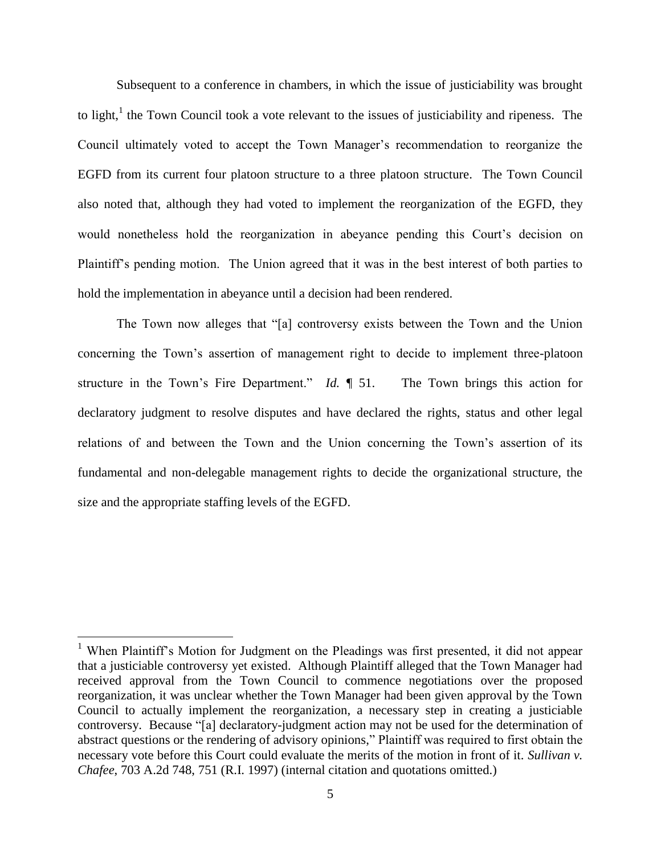Subsequent to a conference in chambers, in which the issue of justiciability was brought to light, $<sup>1</sup>$  the Town Council took a vote relevant to the issues of justiciability and ripeness. The</sup> Council ultimately voted to accept the Town Manager's recommendation to reorganize the EGFD from its current four platoon structure to a three platoon structure. The Town Council also noted that, although they had voted to implement the reorganization of the EGFD, they would nonetheless hold the reorganization in abeyance pending this Court's decision on Plaintiff's pending motion. The Union agreed that it was in the best interest of both parties to hold the implementation in abeyance until a decision had been rendered.

The Town now alleges that "[a] controversy exists between the Town and the Union concerning the Town's assertion of management right to decide to implement three-platoon structure in the Town's Fire Department." *Id.* ¶ 51. The Town brings this action for declaratory judgment to resolve disputes and have declared the rights, status and other legal relations of and between the Town and the Union concerning the Town's assertion of its fundamental and non-delegable management rights to decide the organizational structure, the size and the appropriate staffing levels of the EGFD.

 $\overline{a}$ 

<sup>&</sup>lt;sup>1</sup> When Plaintiff's Motion for Judgment on the Pleadings was first presented, it did not appear that a justiciable controversy yet existed. Although Plaintiff alleged that the Town Manager had received approval from the Town Council to commence negotiations over the proposed reorganization, it was unclear whether the Town Manager had been given approval by the Town Council to actually implement the reorganization, a necessary step in creating a justiciable controversy. Because "[a] declaratory-judgment action may not be used for the determination of abstract questions or the rendering of advisory opinions," Plaintiff was required to first obtain the necessary vote before this Court could evaluate the merits of the motion in front of it. *Sullivan v. Chafee*, 703 A.2d 748, 751 (R.I. 1997) (internal citation and quotations omitted.)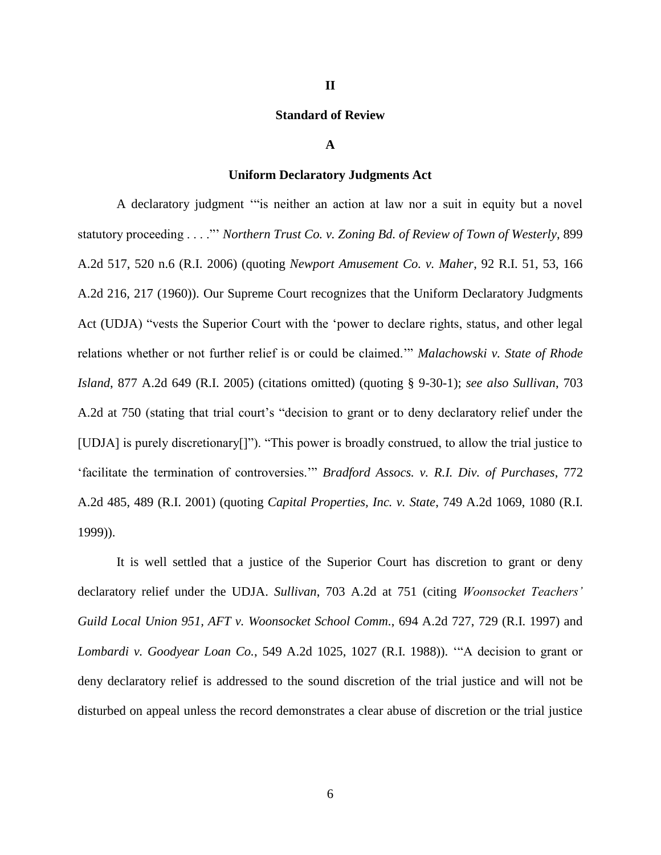# **Standard of Review**

#### **A**

#### **Uniform Declaratory Judgments Act**

A declaratory judgment '"is neither an action at law nor a suit in equity but a novel statutory proceeding . . . ."' *Northern Trust Co. v. Zoning Bd. of Review of Town of Westerly*, 899 A.2d 517, 520 n.6 (R.I. 2006) (quoting *Newport Amusement Co. v. Maher*, 92 R.I. 51, 53, 166 A.2d 216, 217 (1960)). Our Supreme Court recognizes that the Uniform Declaratory Judgments Act (UDJA) "vests the Superior Court with the 'power to declare rights, status, and other legal relations whether or not further relief is or could be claimed.'" *Malachowski v. State of Rhode Island*, 877 A.2d 649 (R.I. 2005) (citations omitted) (quoting § 9-30-1); *see also Sullivan*, 703 A.2d at 750 (stating that trial court's "decision to grant or to deny declaratory relief under the [UDJA] is purely discretionary[]"). "This power is broadly construed, to allow the trial justice to 'facilitate the termination of controversies.'" *Bradford Assocs. v. R.I. Div. of Purchases*, 772 A.2d 485, 489 (R.I. 2001) (quoting *Capital Properties, Inc. v. State*, 749 A.2d 1069, 1080 (R.I. 1999)).

It is well settled that a justice of the Superior Court has discretion to grant or deny declaratory relief under the UDJA. *Sullivan*, 703 A.2d at 751 (citing *Woonsocket Teachers' Guild Local Union 951, AFT v. Woonsocket School Comm.*, 694 A.2d 727, 729 (R.I. 1997) and *Lombardi v. Goodyear Loan Co.*, 549 A.2d 1025, 1027 (R.I. 1988)). '"A decision to grant or deny declaratory relief is addressed to the sound discretion of the trial justice and will not be disturbed on appeal unless the record demonstrates a clear abuse of discretion or the trial justice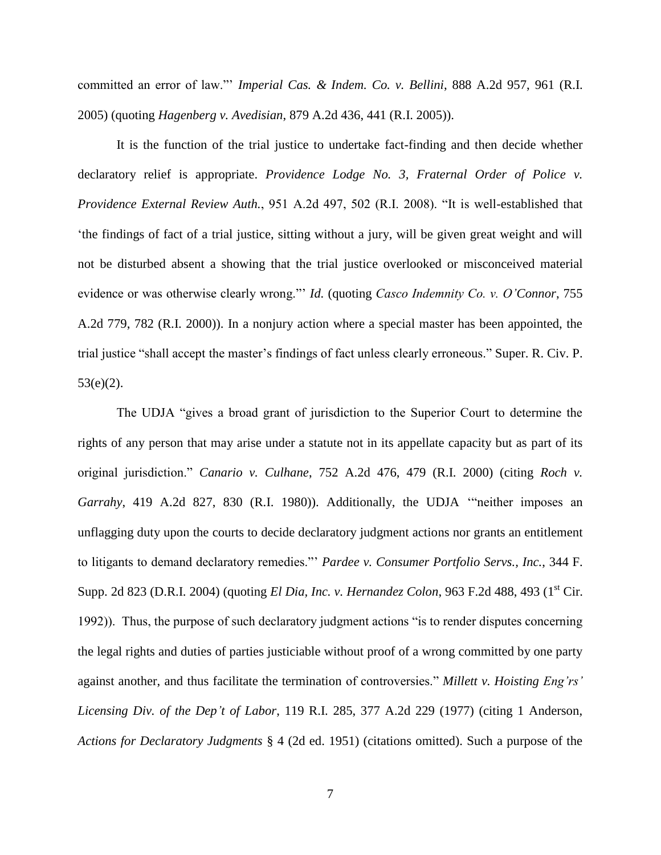committed an error of law."' *Imperial Cas. & Indem. Co. v. Bellini*, 888 A.2d 957, 961 (R.I. 2005) (quoting *Hagenberg v. Avedisian*, 879 A.2d 436, 441 (R.I. 2005)).

It is the function of the trial justice to undertake fact-finding and then decide whether declaratory relief is appropriate. *Providence Lodge No. 3, Fraternal Order of Police v. Providence External Review Auth.*, 951 A.2d 497, 502 (R.I. 2008). "It is well-established that 'the findings of fact of a trial justice, sitting without a jury, will be given great weight and will not be disturbed absent a showing that the trial justice overlooked or misconceived material evidence or was otherwise clearly wrong."' *Id.* (quoting *Casco Indemnity Co. v. O'Connor*, 755 A.2d 779, 782 (R.I. 2000)). In a nonjury action where a special master has been appointed, the trial justice "shall accept the master's findings of fact unless clearly erroneous." Super. R. Civ. P. 53(e)(2).

The UDJA "gives a broad grant of jurisdiction to the Superior Court to determine the rights of any person that may arise under a statute not in its appellate capacity but as part of its original jurisdiction." *Canario v. Culhane*, 752 A.2d 476, 479 (R.I. 2000) (citing *Roch v. Garrahy*, 419 A.2d 827, 830 (R.I. 1980)). Additionally, the UDJA '"neither imposes an unflagging duty upon the courts to decide declaratory judgment actions nor grants an entitlement to litigants to demand declaratory remedies."' *Pardee v. Consumer Portfolio Servs., Inc.*, 344 F. Supp. 2d 823 (D.R.I. 2004) (quoting *El Dia, Inc. v. Hernandez Colon*, 963 F.2d 488, 493 (1<sup>st</sup> Cir. 1992)). Thus, the purpose of such declaratory judgment actions "is to render disputes concerning the legal rights and duties of parties justiciable without proof of a wrong committed by one party against another, and thus facilitate the termination of controversies." *Millett v. Hoisting Eng'rs' Licensing Div. of the Dep't of Labor*, 119 R.I. 285, 377 A.2d 229 (1977) (citing 1 Anderson, *Actions for Declaratory Judgments* § 4 (2d ed. 1951) (citations omitted). Such a purpose of the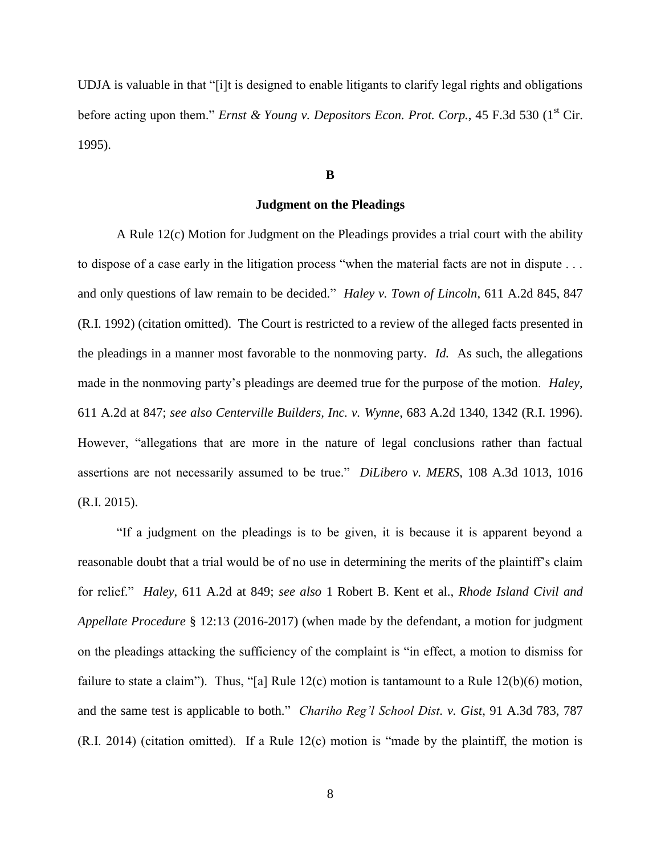UDJA is valuable in that "[i]t is designed to enable litigants to clarify legal rights and obligations before acting upon them." *Ernst & Young v. Depositors Econ. Prot. Corp.*, 45 F.3d 530 (1<sup>st</sup> Cir. 1995).

# **B**

# **Judgment on the Pleadings**

A Rule 12(c) Motion for Judgment on the Pleadings provides a trial court with the ability to dispose of a case early in the litigation process "when the material facts are not in dispute . . . and only questions of law remain to be decided." *Haley v. Town of Lincoln*, 611 A.2d 845, 847 (R.I. 1992) (citation omitted). The Court is restricted to a review of the alleged facts presented in the pleadings in a manner most favorable to the nonmoving party. *Id.* As such, the allegations made in the nonmoving party's pleadings are deemed true for the purpose of the motion. *Haley*, 611 A.2d at 847; *see also Centerville Builders, Inc. v. Wynne*, 683 A.2d 1340, 1342 (R.I. 1996). However, "allegations that are more in the nature of legal conclusions rather than factual assertions are not necessarily assumed to be true." *DiLibero v. MERS*, 108 A.3d 1013, 1016 (R.I. 2015).

"If a judgment on the pleadings is to be given, it is because it is apparent beyond a reasonable doubt that a trial would be of no use in determining the merits of the plaintiff's claim for relief." *Haley*, 611 A.2d at 849; *see also* 1 Robert B. Kent et al., *Rhode Island Civil and Appellate Procedure* § 12:13 (2016-2017) (when made by the defendant, a motion for judgment on the pleadings attacking the sufficiency of the complaint is "in effect, a motion to dismiss for failure to state a claim"). Thus, "[a] Rule 12(c) motion is tantamount to a Rule 12(b)(6) motion, and the same test is applicable to both." *Chariho Reg'l School Dist. v. Gist*, 91 A.3d 783, 787 (R.I. 2014) (citation omitted). If a Rule 12(c) motion is "made by the plaintiff, the motion is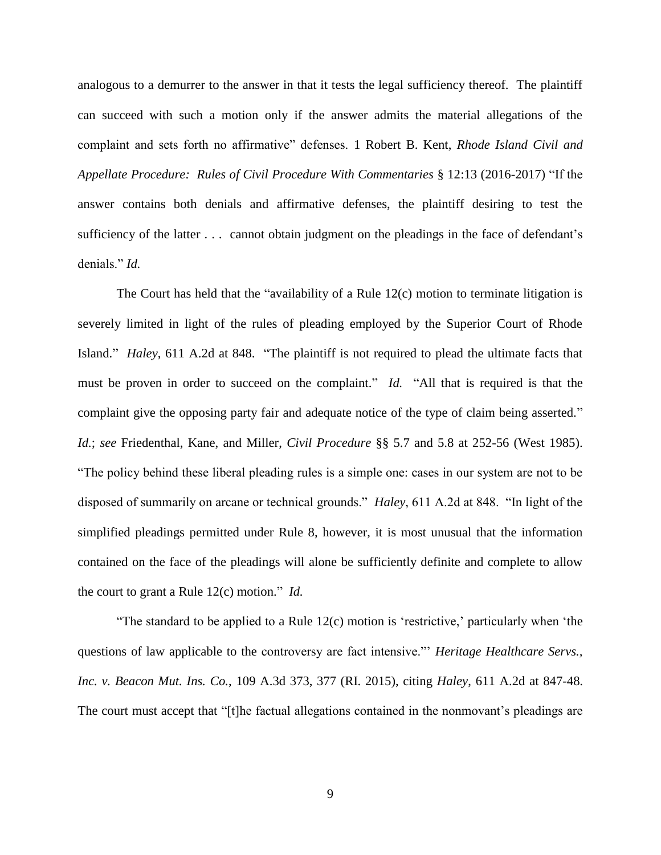analogous to a demurrer to the answer in that it tests the legal sufficiency thereof. The plaintiff can succeed with such a motion only if the answer admits the material allegations of the complaint and sets forth no affirmative" defenses. 1 Robert B. Kent, *Rhode Island Civil and Appellate Procedure: Rules of Civil Procedure With Commentaries* § 12:13 (2016-2017) "If the answer contains both denials and affirmative defenses, the plaintiff desiring to test the sufficiency of the latter . . . cannot obtain judgment on the pleadings in the face of defendant's denials." *Id.*

The Court has held that the "availability of a Rule 12(c) motion to terminate litigation is severely limited in light of the rules of pleading employed by the Superior Court of Rhode Island." *Haley*, 611 A.2d at 848. "The plaintiff is not required to plead the ultimate facts that must be proven in order to succeed on the complaint." *Id.* "All that is required is that the complaint give the opposing party fair and adequate notice of the type of claim being asserted." *Id.*; *see* Friedenthal, Kane, and Miller, *Civil Procedure* §§ 5.7 and 5.8 at 252-56 (West 1985). "The policy behind these liberal pleading rules is a simple one: cases in our system are not to be disposed of summarily on arcane or technical grounds." *Haley*, 611 A.2d at 848. "In light of the simplified pleadings permitted under Rule 8, however, it is most unusual that the information contained on the face of the pleadings will alone be sufficiently definite and complete to allow the court to grant a Rule 12(c) motion." *Id.*

"The standard to be applied to a Rule  $12(c)$  motion is 'restrictive,' particularly when 'the questions of law applicable to the controversy are fact intensive."' *Heritage Healthcare Servs., Inc. v. Beacon Mut. Ins. Co.*, 109 A.3d 373, 377 (RI. 2015), citing *Haley*, 611 A.2d at 847-48. The court must accept that "[t]he factual allegations contained in the nonmovant's pleadings are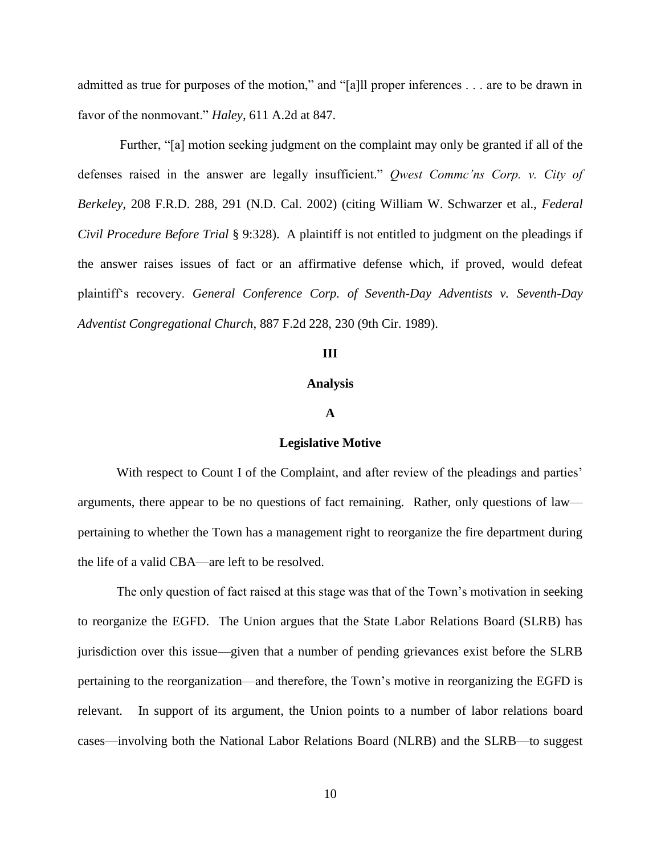admitted as true for purposes of the motion," and "[a]ll proper inferences . . . are to be drawn in favor of the nonmovant." *Haley*, 611 A.2d at 847.

Further, "[a] motion seeking judgment on the complaint may only be granted if all of the defenses raised in the answer are legally insufficient." *Qwest Commc'ns Corp. v. City of Berkeley*, 208 F.R.D. 288, 291 (N.D. Cal. 2002) (citing William W. Schwarzer et al., *Federal Civil Procedure Before Trial* § 9:328). A plaintiff is not entitled to judgment on the pleadings if the answer raises issues of fact or an affirmative defense which, if proved, would defeat plaintiff's recovery. *General Conference Corp. of Seventh-Day Adventists v. Seventh-Day Adventist Congregational Church*, 887 F.2d 228, 230 (9th Cir. 1989).

# **III**

# **Analysis**

# **A**

#### **Legislative Motive**

With respect to Count I of the Complaint, and after review of the pleadings and parties' arguments, there appear to be no questions of fact remaining. Rather, only questions of law pertaining to whether the Town has a management right to reorganize the fire department during the life of a valid CBA—are left to be resolved.

The only question of fact raised at this stage was that of the Town's motivation in seeking to reorganize the EGFD. The Union argues that the State Labor Relations Board (SLRB) has jurisdiction over this issue—given that a number of pending grievances exist before the SLRB pertaining to the reorganization—and therefore, the Town's motive in reorganizing the EGFD is relevant. In support of its argument, the Union points to a number of labor relations board cases—involving both the National Labor Relations Board (NLRB) and the SLRB—to suggest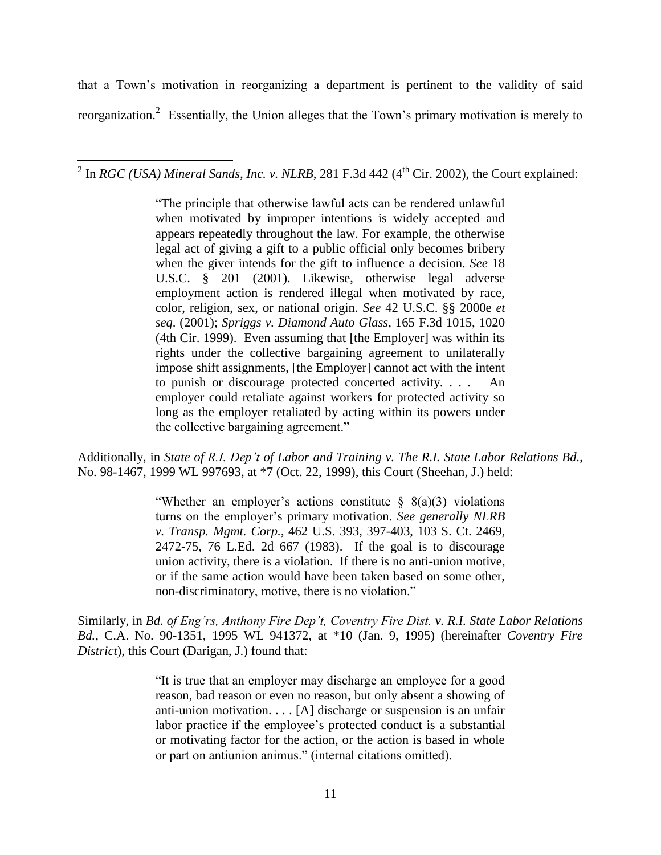that a Town's motivation in reorganizing a department is pertinent to the validity of said reorganization.<sup>2</sup> Essentially, the Union alleges that the Town's primary motivation is merely to

<sup>2</sup> In *RGC (USA) Mineral Sands, Inc. v. NLRB*, 281 F.3d 442 (4<sup>th</sup> Cir. 2002), the Court explained:

"The principle that otherwise lawful acts can be rendered unlawful when motivated by improper intentions is widely accepted and appears repeatedly throughout the law. For example, the otherwise legal act of giving a gift to a public official only becomes bribery when the giver intends for the gift to influence a decision. *See* 18 U.S.C. § 201 (2001). Likewise, otherwise legal adverse employment action is rendered illegal when motivated by race, color, religion, sex, or national origin. *See* 42 U.S.C. §§ 2000e *et seq*. (2001); *Spriggs v. Diamond Auto Glass*, 165 F.3d 1015, 1020 (4th Cir. 1999). Even assuming that [the Employer] was within its rights under the collective bargaining agreement to unilaterally impose shift assignments, [the Employer] cannot act with the intent to punish or discourage protected concerted activity. . . . An employer could retaliate against workers for protected activity so long as the employer retaliated by acting within its powers under the collective bargaining agreement."

Additionally, in *State of R.I. Dep't of Labor and Training v. The R.I. State Labor Relations Bd.*, No. 98-1467, 1999 WL 997693, at \*7 (Oct. 22, 1999), this Court (Sheehan, J.) held:

> "Whether an employer's actions constitute  $\S$  8(a)(3) violations turns on the employer's primary motivation. *See generally NLRB v. Transp. Mgmt. Corp.*, 462 U.S. 393, 397-403, 103 S. Ct. 2469, 2472-75, 76 L.Ed. 2d 667 (1983). If the goal is to discourage union activity, there is a violation. If there is no anti-union motive, or if the same action would have been taken based on some other, non-discriminatory, motive, there is no violation."

Similarly, in *Bd. of Eng'rs, Anthony Fire Dep't, Coventry Fire Dist. v. R.I. State Labor Relations Bd.*, C.A. No. 90-1351, 1995 WL 941372, at \*10 (Jan. 9, 1995) (hereinafter *Coventry Fire District*), this Court (Darigan, J.) found that:

> "It is true that an employer may discharge an employee for a good reason, bad reason or even no reason, but only absent a showing of anti-union motivation. . . . [A] discharge or suspension is an unfair labor practice if the employee's protected conduct is a substantial or motivating factor for the action, or the action is based in whole or part on antiunion animus." (internal citations omitted).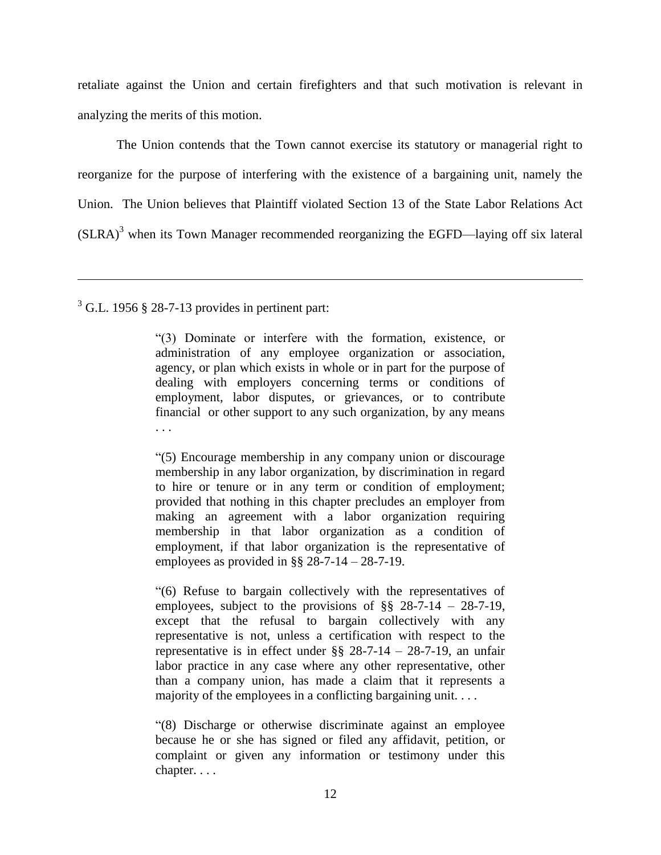retaliate against the Union and certain firefighters and that such motivation is relevant in analyzing the merits of this motion.

The Union contends that the Town cannot exercise its statutory or managerial right to reorganize for the purpose of interfering with the existence of a bargaining unit, namely the Union. The Union believes that Plaintiff violated Section 13 of the State Labor Relations Act  $(SLRA)^3$  when its Town Manager recommended reorganizing the EGFD—laying off six lateral

 $\overline{a}$ 

"(3) Dominate or interfere with the formation, existence, or administration of any employee organization or association, agency, or plan which exists in whole or in part for the purpose of dealing with employers concerning terms or conditions of employment, labor disputes, or grievances, or to contribute financial or other support to any such organization, by any means . . .

"(5) Encourage membership in any company union or discourage membership in any labor organization, by discrimination in regard to hire or tenure or in any term or condition of employment; provided that nothing in this chapter precludes an employer from making an agreement with a labor organization requiring membership in that labor organization as a condition of employment, if that labor organization is the representative of employees as provided in  $\S$ § 28-7-14 – 28-7-19.

"(6) Refuse to bargain collectively with the representatives of employees, subject to the provisions of §§ 28-7-14 – 28-7-19, except that the refusal to bargain collectively with any representative is not, unless a certification with respect to the representative is in effect under §§ 28-7-14 – 28-7-19, an unfair labor practice in any case where any other representative, other than a company union, has made a claim that it represents a majority of the employees in a conflicting bargaining unit. . . .

"(8) Discharge or otherwise discriminate against an employee because he or she has signed or filed any affidavit, petition, or complaint or given any information or testimony under this chapter. . . .

 $3$  G.L. 1956 § 28-7-13 provides in pertinent part: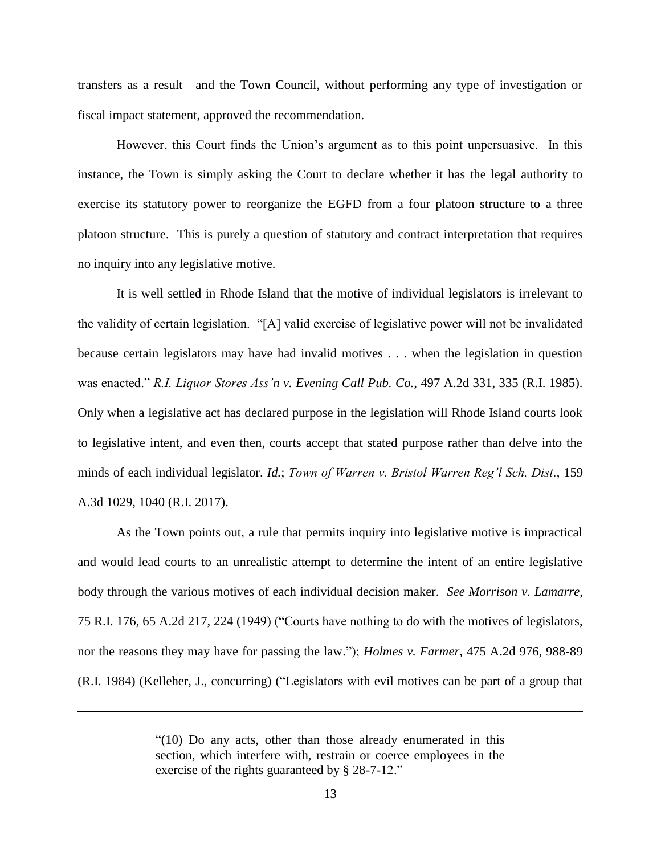transfers as a result—and the Town Council, without performing any type of investigation or fiscal impact statement, approved the recommendation.

However, this Court finds the Union's argument as to this point unpersuasive. In this instance, the Town is simply asking the Court to declare whether it has the legal authority to exercise its statutory power to reorganize the EGFD from a four platoon structure to a three platoon structure. This is purely a question of statutory and contract interpretation that requires no inquiry into any legislative motive.

It is well settled in Rhode Island that the motive of individual legislators is irrelevant to the validity of certain legislation. "[A] valid exercise of legislative power will not be invalidated because certain legislators may have had invalid motives . . . when the legislation in question was enacted." *R.I. Liquor Stores Ass'n v. Evening Call Pub. Co.*, 497 A.2d 331, 335 (R.I. 1985). Only when a legislative act has declared purpose in the legislation will Rhode Island courts look to legislative intent, and even then, courts accept that stated purpose rather than delve into the minds of each individual legislator. *Id.*; *Town of Warren v. Bristol Warren Reg'l Sch. Dist.*, 159 A.3d 1029, 1040 (R.I. 2017).

As the Town points out, a rule that permits inquiry into legislative motive is impractical and would lead courts to an unrealistic attempt to determine the intent of an entire legislative body through the various motives of each individual decision maker. *See Morrison v. Lamarre*, 75 R.I. 176, 65 A.2d 217, 224 (1949) ("Courts have nothing to do with the motives of legislators, nor the reasons they may have for passing the law."); *Holmes v. Farmer*, 475 A.2d 976, 988-89 (R.I. 1984) (Kelleher, J., concurring) ("Legislators with evil motives can be part of a group that

 $\overline{a}$ 

<sup>&</sup>quot;(10) Do any acts, other than those already enumerated in this section, which interfere with, restrain or coerce employees in the exercise of the rights guaranteed by § 28-7-12."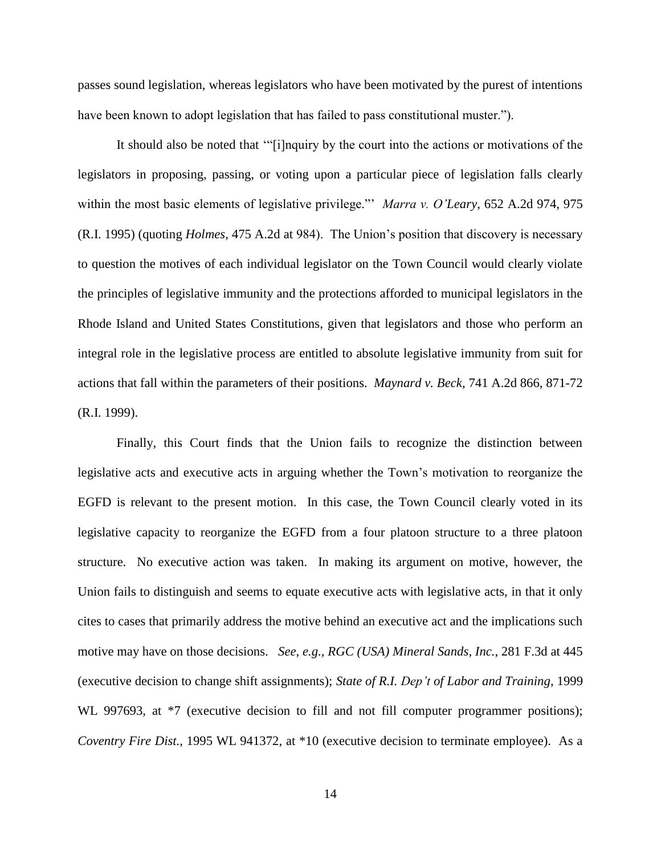passes sound legislation, whereas legislators who have been motivated by the purest of intentions have been known to adopt legislation that has failed to pass constitutional muster.").

It should also be noted that '"[i]nquiry by the court into the actions or motivations of the legislators in proposing, passing, or voting upon a particular piece of legislation falls clearly within the most basic elements of legislative privilege."' *Marra v. O'Leary*, 652 A.2d 974, 975 (R.I. 1995) (quoting *Holmes*, 475 A.2d at 984). The Union's position that discovery is necessary to question the motives of each individual legislator on the Town Council would clearly violate the principles of legislative immunity and the protections afforded to municipal legislators in the Rhode Island and United States Constitutions, given that legislators and those who perform an integral role in the legislative process are entitled to absolute legislative immunity from suit for actions that fall within the parameters of their positions. *Maynard v. Beck*, 741 A.2d 866, 871-72 (R.I. 1999).

Finally, this Court finds that the Union fails to recognize the distinction between legislative acts and executive acts in arguing whether the Town's motivation to reorganize the EGFD is relevant to the present motion. In this case, the Town Council clearly voted in its legislative capacity to reorganize the EGFD from a four platoon structure to a three platoon structure. No executive action was taken. In making its argument on motive, however, the Union fails to distinguish and seems to equate executive acts with legislative acts, in that it only cites to cases that primarily address the motive behind an executive act and the implications such motive may have on those decisions. *See*, *e.g.*, *RGC (USA) Mineral Sands, Inc.*, 281 F.3d at 445 (executive decision to change shift assignments); *State of R.I. Dep't of Labor and Training*, 1999 WL 997693, at  $*7$  (executive decision to fill and not fill computer programmer positions); *Coventry Fire Dist.*, 1995 WL 941372, at \*10 (executive decision to terminate employee). As a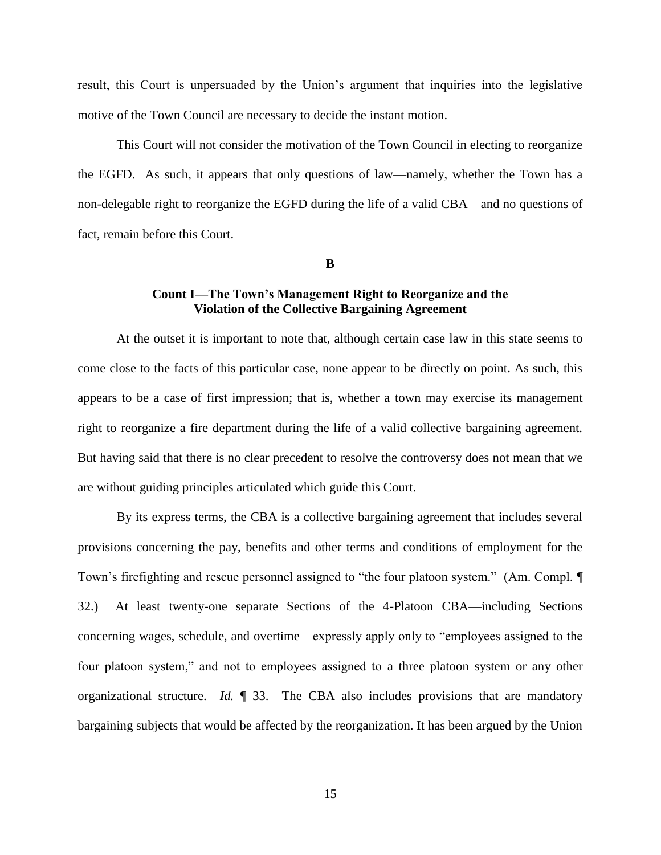result, this Court is unpersuaded by the Union's argument that inquiries into the legislative motive of the Town Council are necessary to decide the instant motion.

This Court will not consider the motivation of the Town Council in electing to reorganize the EGFD. As such, it appears that only questions of law—namely, whether the Town has a non-delegable right to reorganize the EGFD during the life of a valid CBA—and no questions of fact, remain before this Court.

**B**

# **Count I—The Town's Management Right to Reorganize and the Violation of the Collective Bargaining Agreement**

At the outset it is important to note that, although certain case law in this state seems to come close to the facts of this particular case, none appear to be directly on point. As such, this appears to be a case of first impression; that is, whether a town may exercise its management right to reorganize a fire department during the life of a valid collective bargaining agreement. But having said that there is no clear precedent to resolve the controversy does not mean that we are without guiding principles articulated which guide this Court.

By its express terms, the CBA is a collective bargaining agreement that includes several provisions concerning the pay, benefits and other terms and conditions of employment for the Town's firefighting and rescue personnel assigned to "the four platoon system." (Am. Compl. ¶ 32.) At least twenty-one separate Sections of the 4-Platoon CBA—including Sections concerning wages, schedule, and overtime—expressly apply only to "employees assigned to the four platoon system," and not to employees assigned to a three platoon system or any other organizational structure. *Id.* ¶ 33. The CBA also includes provisions that are mandatory bargaining subjects that would be affected by the reorganization. It has been argued by the Union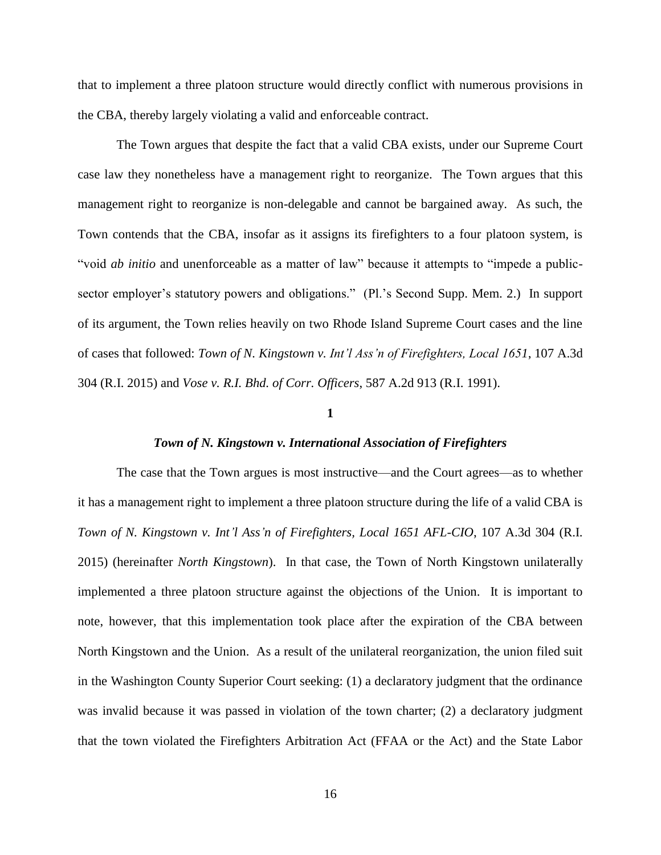that to implement a three platoon structure would directly conflict with numerous provisions in the CBA, thereby largely violating a valid and enforceable contract.

The Town argues that despite the fact that a valid CBA exists, under our Supreme Court case law they nonetheless have a management right to reorganize. The Town argues that this management right to reorganize is non-delegable and cannot be bargained away. As such, the Town contends that the CBA, insofar as it assigns its firefighters to a four platoon system, is "void *ab initio* and unenforceable as a matter of law" because it attempts to "impede a publicsector employer's statutory powers and obligations." (Pl.'s Second Supp. Mem. 2.) In support of its argument, the Town relies heavily on two Rhode Island Supreme Court cases and the line of cases that followed: *Town of N. Kingstown v. Int'l Ass'n of Firefighters, Local 1651*, 107 A.3d 304 (R.I. 2015) and *Vose v. R.I. Bhd. of Corr. Officers*, 587 A.2d 913 (R.I. 1991).

#### **1**

# *Town of N. Kingstown v. International Association of Firefighters*

The case that the Town argues is most instructive—and the Court agrees—as to whether it has a management right to implement a three platoon structure during the life of a valid CBA is *Town of N. Kingstown v. Int'l Ass'n of Firefighters, Local 1651 AFL-CIO*, 107 A.3d 304 (R.I. 2015) (hereinafter *North Kingstown*). In that case, the Town of North Kingstown unilaterally implemented a three platoon structure against the objections of the Union. It is important to note, however, that this implementation took place after the expiration of the CBA between North Kingstown and the Union. As a result of the unilateral reorganization, the union filed suit in the Washington County Superior Court seeking: (1) a declaratory judgment that the ordinance was invalid because it was passed in violation of the town charter; (2) a declaratory judgment that the town violated the Firefighters Arbitration Act (FFAA or the Act) and the State Labor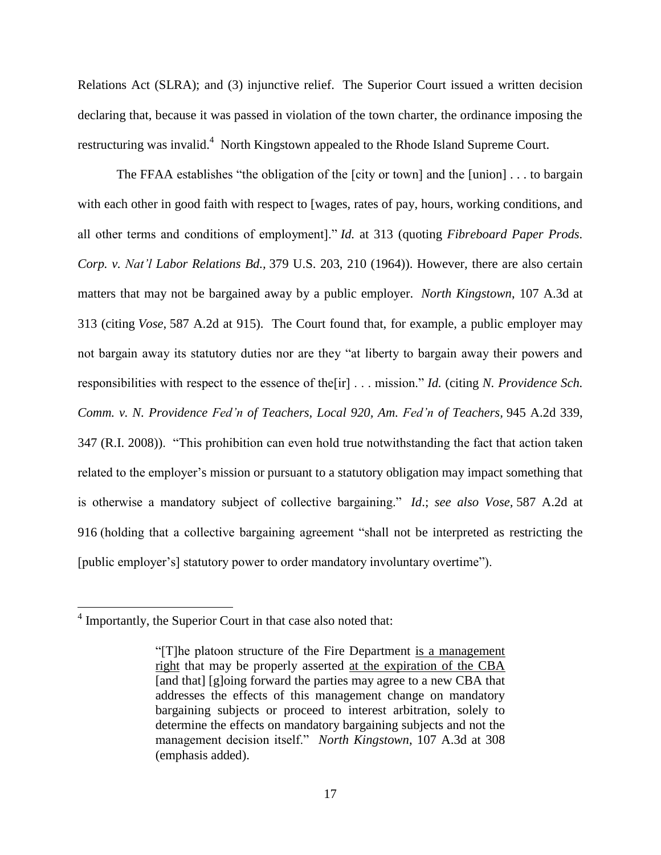Relations Act (SLRA); and (3) injunctive relief. The Superior Court issued a written decision declaring that, because it was passed in violation of the town charter, the ordinance imposing the restructuring was invalid.<sup>4</sup> North Kingstown appealed to the Rhode Island Supreme Court.

The FFAA establishes "the obligation of the [city or town] and the [union] . . . to bargain with each other in good faith with respect to [wages, rates of pay, hours, working conditions, and all other terms and conditions of employment]." *Id.* at 313 (quoting *[Fibreboard Paper Prods.](https://1.next.westlaw.com/Link/Document/FullText?findType=Y&serNum=1964124900&pubNum=0000708&originatingDoc=Ic3c91c7b98ca11e49488c8f438320c70&refType=RP&originationContext=document&transitionType=DocumentItem&contextData=(sc.History*oc.Search)) Corp. v. Nat'l Labor Relations Bd.,* [379 U.S. 203, 210 \(1964\)\)](https://1.next.westlaw.com/Link/Document/FullText?findType=Y&serNum=1964124900&pubNum=0000708&originatingDoc=Ic3c91c7b98ca11e49488c8f438320c70&refType=RP&originationContext=document&transitionType=DocumentItem&contextData=(sc.History*oc.Search)). However, there are also certain matters that may not be bargained away by a public employer. *North Kingstown*, 107 A.3d at 313 (citing *Vose*, [587 A.2d at 915\)](https://1.next.westlaw.com/Link/Document/FullText?findType=Y&serNum=1991052845&pubNum=0000162&originatingDoc=Ic3c91c7b98ca11e49488c8f438320c70&refType=RP&fi=co_pp_sp_162_915&originationContext=document&transitionType=DocumentItem&contextData=(sc.History*oc.Search)#co_pp_sp_162_915). The Court found that, for example, a public employer may not bargain away its statutory duties nor are they "at liberty to bargain away their powers and responsibilities with respect to the essence of the[ir] . . . mission." *Id.* (citing *N. [Providence Sch.](https://1.next.westlaw.com/Link/Document/FullText?findType=Y&serNum=2015865514&pubNum=0000162&originatingDoc=Ic3c91c7b98ca11e49488c8f438320c70&refType=RP&fi=co_pp_sp_162_347&originationContext=document&transitionType=DocumentItem&contextData=(sc.History*oc.Search)#co_pp_sp_162_347)  Comm. v. N. Providence Fed'n [of Teachers, Local 920, Am.](https://1.next.westlaw.com/Link/Document/FullText?findType=Y&serNum=2015865514&pubNum=0000162&originatingDoc=Ic3c91c7b98ca11e49488c8f438320c70&refType=RP&fi=co_pp_sp_162_347&originationContext=document&transitionType=DocumentItem&contextData=(sc.History*oc.Search)#co_pp_sp_162_347) Fed'n of Teachers,* 945 A.2d 339, [347 \(R.I.](https://1.next.westlaw.com/Link/Document/FullText?findType=Y&serNum=2015865514&pubNum=0000162&originatingDoc=Ic3c91c7b98ca11e49488c8f438320c70&refType=RP&fi=co_pp_sp_162_347&originationContext=document&transitionType=DocumentItem&contextData=(sc.History*oc.Search)#co_pp_sp_162_347) 2008)). "This prohibition can even hold true notwithstanding the fact that action taken related to the employer's mission or pursuant to a statutory obligation may impact something that is otherwise a mandatory subject of collective bargaining." *Id*.; *see also Vose,* [587 A.2d at](https://1.next.westlaw.com/Link/Document/FullText?findType=Y&serNum=1991052845&pubNum=0000162&originatingDoc=Ic3c91c7b98ca11e49488c8f438320c70&refType=RP&fi=co_pp_sp_162_916&originationContext=document&transitionType=DocumentItem&contextData=(sc.History*oc.Search)#co_pp_sp_162_916)  [916](https://1.next.westlaw.com/Link/Document/FullText?findType=Y&serNum=1991052845&pubNum=0000162&originatingDoc=Ic3c91c7b98ca11e49488c8f438320c70&refType=RP&fi=co_pp_sp_162_916&originationContext=document&transitionType=DocumentItem&contextData=(sc.History*oc.Search)#co_pp_sp_162_916) (holding that a collective bargaining agreement "shall not be interpreted as restricting the [public employer's] statutory power to order mandatory involuntary overtime").

 4 Importantly, the Superior Court in that case also noted that:

<sup>&</sup>quot;[T]he platoon structure of the Fire Department is a management right that may be properly asserted at the expiration of the CBA [and that] [g]oing forward the parties may agree to a new CBA that addresses the effects of this management change on mandatory bargaining subjects or proceed to interest arbitration, solely to determine the effects on mandatory bargaining subjects and not the management decision itself." *North Kingstown*, 107 A.3d at 308 (emphasis added).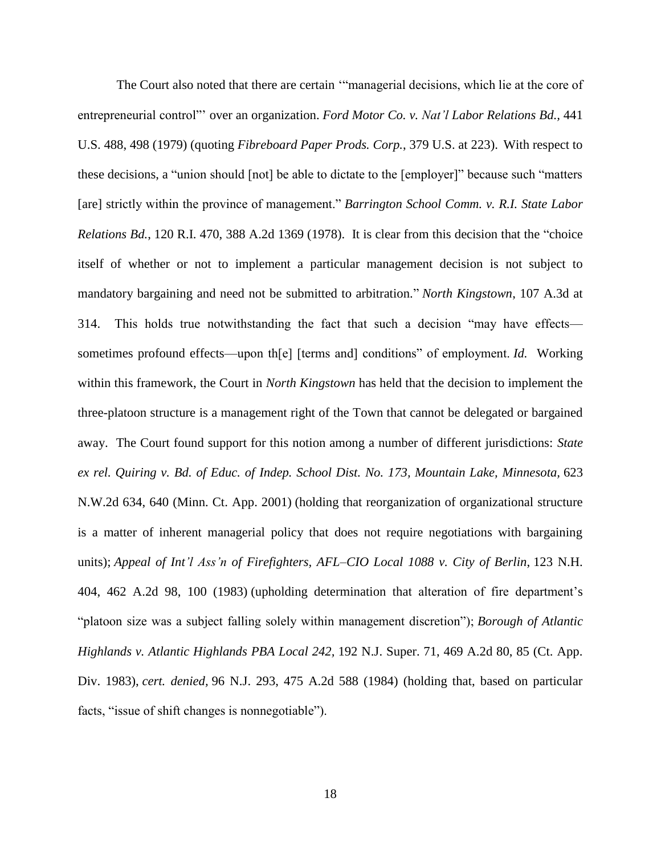The Court also noted that there are certain '"managerial decisions, which lie at the core of entrepreneurial control"' over an organization. *[Ford Motor Co. v. Nat'l](https://1.next.westlaw.com/Link/Document/FullText?findType=Y&serNum=1979135108&pubNum=0000708&originatingDoc=Ic3c91c7b98ca11e49488c8f438320c70&refType=RP&originationContext=document&transitionType=DocumentItem&contextData=(sc.History*oc.Search)) Labor Relations Bd.,* 441 [U.S. 488, 498 \(1979\)](https://1.next.westlaw.com/Link/Document/FullText?findType=Y&serNum=1979135108&pubNum=0000708&originatingDoc=Ic3c91c7b98ca11e49488c8f438320c70&refType=RP&originationContext=document&transitionType=DocumentItem&contextData=(sc.History*oc.Search)) (quoting *Fibreboard Paper Prods. Corp.*, 379 U.S. at 223). With respect to these decisions, a "union should [not] be able to dictate to the [employer]" because such "matters [are] strictly within the province of management." *[Barrington School Comm. v. R.I. State Labor](https://1.next.westlaw.com/Link/Document/FullText?findType=Y&serNum=1978115806&pubNum=0000162&originatingDoc=Ic3c91c7b98ca11e49488c8f438320c70&refType=RP&fi=co_pp_sp_162_1375&originationContext=document&transitionType=DocumentItem&contextData=(sc.History*oc.Search)#co_pp_sp_162_1375)  Relations Bd.*, [120 R.I. 470, 388 A.2d 1369](https://1.next.westlaw.com/Link/Document/FullText?findType=Y&serNum=1978115806&pubNum=0000162&originatingDoc=Ic3c91c7b98ca11e49488c8f438320c70&refType=RP&fi=co_pp_sp_162_1375&originationContext=document&transitionType=DocumentItem&contextData=(sc.History*oc.Search)#co_pp_sp_162_1375) (1978). It is clear from this decision that the "choice itself of whether or not to implement a particular management decision is not subject to mandatory bargaining and need not be submitted to arbitration." *North Kingstown*, 107 A.3d at 314. This holds true notwithstanding the fact that such a decision "may have effects sometimes profound effects—upon th[e] [terms and] conditions" of employment. *Id.* Working within this framework, the Court in *North Kingstown* has held that the decision to implement the three-platoon structure is a management right of the Town that cannot be delegated or bargained away. The Court found support for this notion among a number of different jurisdictions: *[State](https://1.next.westlaw.com/Link/Document/FullText?findType=Y&serNum=2001227868&pubNum=0000595&originatingDoc=Ic3c91c7b98ca11e49488c8f438320c70&refType=RP&fi=co_pp_sp_595_640&originationContext=document&transitionType=DocumentItem&contextData=(sc.History*oc.Search)#co_pp_sp_595_640)  ex rel. Quiring v. Bd. of Educ. of Indep. School Dist. [No. 173, Mountain Lake, Minnesota,](https://1.next.westlaw.com/Link/Document/FullText?findType=Y&serNum=2001227868&pubNum=0000595&originatingDoc=Ic3c91c7b98ca11e49488c8f438320c70&refType=RP&fi=co_pp_sp_595_640&originationContext=document&transitionType=DocumentItem&contextData=(sc.History*oc.Search)#co_pp_sp_595_640)* 623 [N.W.2d 634, 640 \(Minn.](https://1.next.westlaw.com/Link/Document/FullText?findType=Y&serNum=2001227868&pubNum=0000595&originatingDoc=Ic3c91c7b98ca11e49488c8f438320c70&refType=RP&fi=co_pp_sp_595_640&originationContext=document&transitionType=DocumentItem&contextData=(sc.History*oc.Search)#co_pp_sp_595_640) Ct. App. 2001) (holding that reorganization of organizational structure is a matter of inherent managerial policy that does not require negotiations with bargaining units); *Appeal of Int'l Ass'n [of Firefighters, AFL–CIO Local 1088](https://1.next.westlaw.com/Link/Document/FullText?findType=Y&serNum=1983133677&pubNum=0000162&originatingDoc=Ic3c91c7b98ca11e49488c8f438320c70&refType=RP&fi=co_pp_sp_162_100&originationContext=document&transitionType=DocumentItem&contextData=(sc.History*oc.Search)#co_pp_sp_162_100) v. City of Berlin*, 123 N.H. [404, 462 A.2d 98, 100 \(1983\)](https://1.next.westlaw.com/Link/Document/FullText?findType=Y&serNum=1983133677&pubNum=0000162&originatingDoc=Ic3c91c7b98ca11e49488c8f438320c70&refType=RP&fi=co_pp_sp_162_100&originationContext=document&transitionType=DocumentItem&contextData=(sc.History*oc.Search)#co_pp_sp_162_100) (upholding determination that alteration of fire department's "platoon size was a subject falling solely within management discretion"); *[Borough of Atlantic](https://1.next.westlaw.com/Link/Document/FullText?findType=Y&serNum=1984102474&pubNum=0000162&originatingDoc=Ic3c91c7b98ca11e49488c8f438320c70&refType=RP&fi=co_pp_sp_162_85&originationContext=document&transitionType=DocumentItem&contextData=(sc.History*oc.Search)#co_pp_sp_162_85)  [Highlands v. Atlantic Highlands PBA Local 242,](https://1.next.westlaw.com/Link/Document/FullText?findType=Y&serNum=1984102474&pubNum=0000162&originatingDoc=Ic3c91c7b98ca11e49488c8f438320c70&refType=RP&fi=co_pp_sp_162_85&originationContext=document&transitionType=DocumentItem&contextData=(sc.History*oc.Search)#co_pp_sp_162_85)* 192 N.J. Super. 71, 469 A.2d 80, 85 (Ct. App. Div. [1983\),](https://1.next.westlaw.com/Link/Document/FullText?findType=Y&serNum=1984102474&pubNum=0000162&originatingDoc=Ic3c91c7b98ca11e49488c8f438320c70&refType=RP&fi=co_pp_sp_162_85&originationContext=document&transitionType=DocumentItem&contextData=(sc.History*oc.Search)#co_pp_sp_162_85) *cert. denied,* [96 N.J. 293, 475 A.2d 588 \(1984\)](https://1.next.westlaw.com/Link/Document/FullText?findType=Y&serNum=1984222668&pubNum=0000162&originatingDoc=Ic3c91c7b98ca11e49488c8f438320c70&refType=RP&originationContext=document&transitionType=DocumentItem&contextData=(sc.History*oc.Search)) (holding that, based on particular facts, "issue of shift changes is nonnegotiable").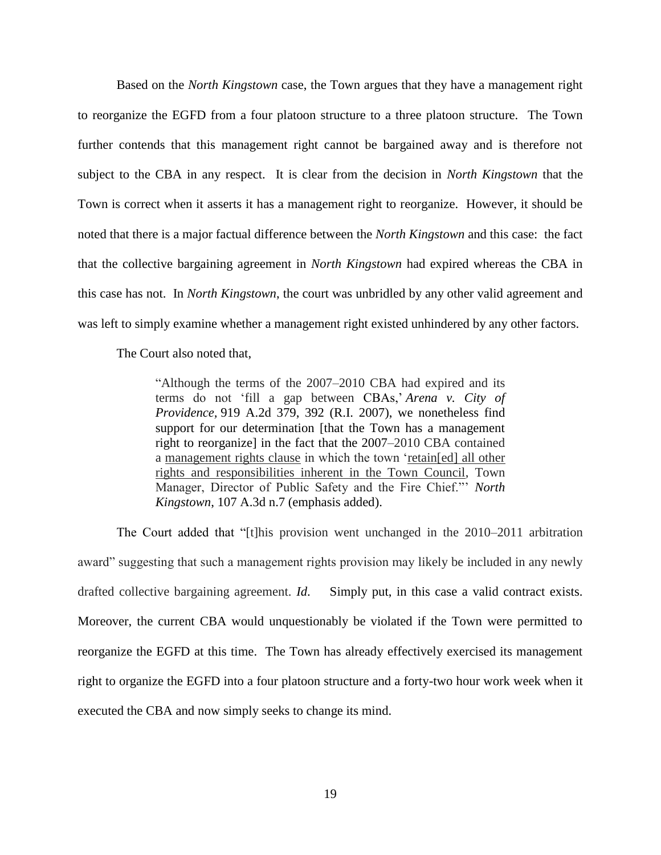Based on the *North Kingstown* case, the Town argues that they have a management right to reorganize the EGFD from a four platoon structure to a three platoon structure. The Town further contends that this management right cannot be bargained away and is therefore not subject to the CBA in any respect. It is clear from the decision in *North Kingstown* that the Town is correct when it asserts it has a management right to reorganize. However, it should be noted that there is a major factual difference between the *North Kingstown* and this case: the fact that the collective bargaining agreement in *North Kingstown* had expired whereas the CBA in this case has not. In *North Kingstown*, the court was unbridled by any other valid agreement and was left to simply examine whether a management right existed unhindered by any other factors.

The Court also noted that,

"Although the terms of the 2007–2010 CBA had expired and its terms do not 'fill a gap between CBAs,' *[Arena v. City of](https://1.next.westlaw.com/Link/Document/FullText?findType=Y&serNum=2011935101&pubNum=0000162&originatingDoc=Ic3c91c7b98ca11e49488c8f438320c70&refType=RP&fi=co_pp_sp_162_392&originationContext=document&transitionType=DocumentItem&contextData=(sc.UserEnteredCitation)#co_pp_sp_162_392)  Providence,* [919 A.2d 379, 392 \(R.I.](https://1.next.westlaw.com/Link/Document/FullText?findType=Y&serNum=2011935101&pubNum=0000162&originatingDoc=Ic3c91c7b98ca11e49488c8f438320c70&refType=RP&fi=co_pp_sp_162_392&originationContext=document&transitionType=DocumentItem&contextData=(sc.UserEnteredCitation)#co_pp_sp_162_392) 2007), we nonetheless find support for our determination [that the Town has a management right to reorganize] in the fact that the 2007–2010 CBA contained a management rights clause in which the town 'retain[ed] all other rights and responsibilities inherent in the Town Council, Town Manager, Director of Public Safety and the Fire Chief."' *North Kingstown*, 107 A.3d n.7 (emphasis added).

The Court added that "[t]his provision went unchanged in the 2010–2011 arbitration award" suggesting that such a management rights provision may likely be included in any newly drafted collective bargaining agreement. *Id*. Simply put, in this case a valid contract exists. Moreover, the current CBA would unquestionably be violated if the Town were permitted to reorganize the EGFD at this time. The Town has already effectively exercised its management right to organize the EGFD into a four platoon structure and a forty-two hour work week when it executed the CBA and now simply seeks to change its mind.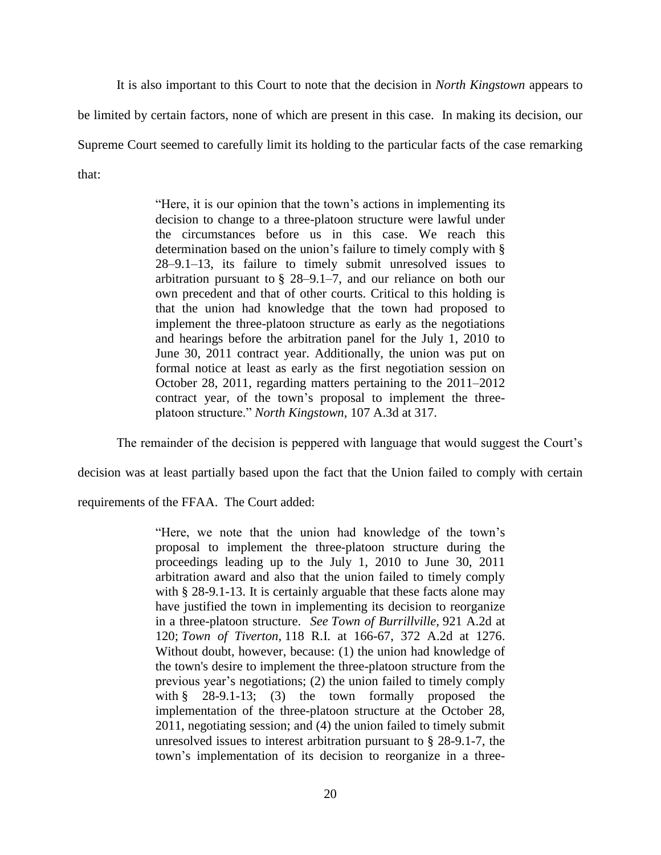It is also important to this Court to note that the decision in *North Kingstown* appears to

be limited by certain factors, none of which are present in this case. In making its decision, our

Supreme Court seemed to carefully limit its holding to the particular facts of the case remarking

that:

"Here, it is our opinion that the town's actions in implementing its decision to change to a three-platoon structure were lawful under the circumstances before us in this case. We reach this determination based on the union's failure to timely comply with [§](https://1.next.westlaw.com/Link/Document/FullText?findType=L&pubNum=1000038&cite=RISTS28-9.1-13&originatingDoc=Ic3c91c7b98ca11e49488c8f438320c70&refType=LQ&originationContext=document&transitionType=DocumentItem&contextData=(sc.UserEnteredCitation))  [28–9.1–13,](https://1.next.westlaw.com/Link/Document/FullText?findType=L&pubNum=1000038&cite=RISTS28-9.1-13&originatingDoc=Ic3c91c7b98ca11e49488c8f438320c70&refType=LQ&originationContext=document&transitionType=DocumentItem&contextData=(sc.UserEnteredCitation)) its failure to timely submit unresolved issues to arbitration pursuant to [§ 28–9.1–7,](https://1.next.westlaw.com/Link/Document/FullText?findType=L&pubNum=1000038&cite=RISTS28-9.1-7&originatingDoc=Ic3c91c7b98ca11e49488c8f438320c70&refType=LQ&originationContext=document&transitionType=DocumentItem&contextData=(sc.UserEnteredCitation)) and our reliance on both our own precedent and that of other courts. Critical to this holding is that the union had knowledge that the town had proposed to implement the three-platoon structure as early as the negotiations and hearings before the arbitration panel for the July 1, 2010 to June 30, 2011 contract year. Additionally, the union was put on formal notice at least as early as the first negotiation session on October 28, 2011, regarding matters pertaining to the 2011–2012 contract year, of the town's proposal to implement the threeplatoon structure." *North Kingstown*, 107 A.3d at 317.

The remainder of the decision is peppered with language that would suggest the Court's

decision was at least partially based upon the fact that the Union failed to comply with certain

requirements of the FFAA. The Court added:

"Here, we note that the union had knowledge of the town's proposal to implement the three-platoon structure during the proceedings leading up to the July 1, 2010 to June 30, 2011 arbitration award and also that the union failed to timely comply with [§ 28-9.1-13.](https://1.next.westlaw.com/Link/Document/FullText?findType=L&pubNum=1000038&cite=RISTS28-9.1-13&originatingDoc=Ic3c91c7b98ca11e49488c8f438320c70&refType=LQ&originationContext=document&transitionType=DocumentItem&contextData=(sc.UserEnteredCitation)) It is certainly arguable that these facts alone may have justified the town in implementing its decision to reorganize in a three-platoon structure. *See [Town of Burrillville,](https://1.next.westlaw.com/Link/Document/FullText?findType=Y&serNum=2012165434&pubNum=0000162&originatingDoc=Ic3c91c7b98ca11e49488c8f438320c70&refType=RP&fi=co_pp_sp_162_120&originationContext=document&transitionType=DocumentItem&contextData=(sc.UserEnteredCitation)#co_pp_sp_162_120)* 921 A.2d at [120;](https://1.next.westlaw.com/Link/Document/FullText?findType=Y&serNum=2012165434&pubNum=0000162&originatingDoc=Ic3c91c7b98ca11e49488c8f438320c70&refType=RP&fi=co_pp_sp_162_120&originationContext=document&transitionType=DocumentItem&contextData=(sc.UserEnteredCitation)#co_pp_sp_162_120) *Town of Tiverton,* [118 R.I. at 166-67, 372 A.2d at 1276.](https://1.next.westlaw.com/Link/Document/FullText?findType=Y&serNum=1977102255&pubNum=0000162&originatingDoc=Ic3c91c7b98ca11e49488c8f438320c70&refType=RP&fi=co_pp_sp_162_1276&originationContext=document&transitionType=DocumentItem&contextData=(sc.UserEnteredCitation)#co_pp_sp_162_1276) Without doubt, however, because: (1) the union had knowledge of the town's desire to implement the three-platoon structure from the previous year's negotiations; (2) the union failed to timely comply with  $\S$  28-9.1-13; (3) the town formally proposed the implementation of the three-platoon structure at the October 28, 2011, negotiating session; and (4) the union failed to timely submit unresolved issues to interest arbitration pursuant to [§ 28-9.1-7,](https://1.next.westlaw.com/Link/Document/FullText?findType=L&pubNum=1000038&cite=RISTS28-9.1-7&originatingDoc=Ic3c91c7b98ca11e49488c8f438320c70&refType=LQ&originationContext=document&transitionType=DocumentItem&contextData=(sc.UserEnteredCitation)) the town's implementation of its decision to reorganize in a three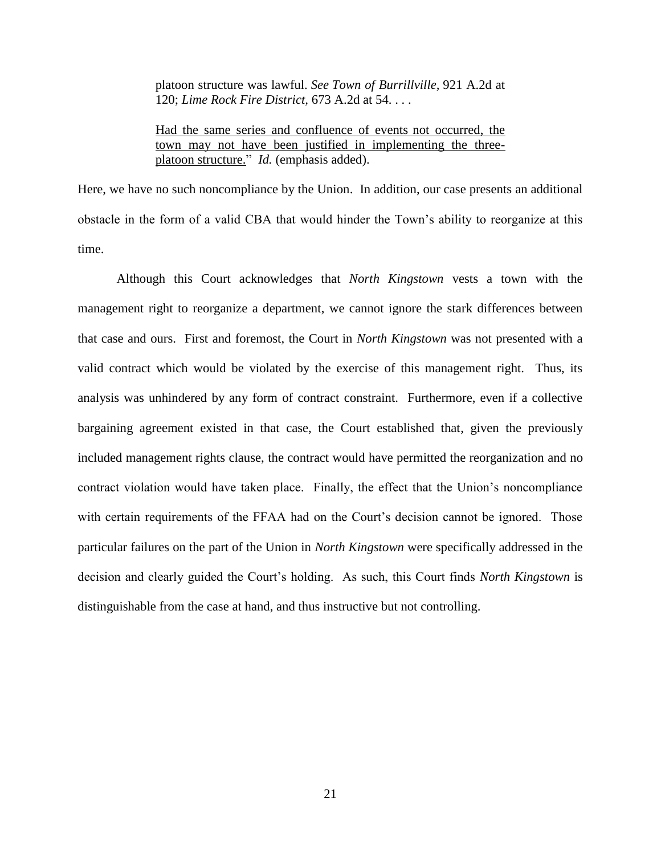platoon structure was lawful. *See [Town of Burrillville,](https://1.next.westlaw.com/Link/Document/FullText?findType=Y&serNum=2012165434&pubNum=0000162&originatingDoc=Ic3c91c7b98ca11e49488c8f438320c70&refType=RP&fi=co_pp_sp_162_120&originationContext=document&transitionType=DocumentItem&contextData=(sc.UserEnteredCitation)#co_pp_sp_162_120)* 921 A.2d at [120;](https://1.next.westlaw.com/Link/Document/FullText?findType=Y&serNum=2012165434&pubNum=0000162&originatingDoc=Ic3c91c7b98ca11e49488c8f438320c70&refType=RP&fi=co_pp_sp_162_120&originationContext=document&transitionType=DocumentItem&contextData=(sc.UserEnteredCitation)#co_pp_sp_162_120) *[Lime Rock Fire District,](https://1.next.westlaw.com/Link/Document/FullText?findType=Y&serNum=1996079897&pubNum=0000162&originatingDoc=Ic3c91c7b98ca11e49488c8f438320c70&refType=RP&fi=co_pp_sp_162_54&originationContext=document&transitionType=DocumentItem&contextData=(sc.UserEnteredCitation)#co_pp_sp_162_54)* 673 A.2d at 54. . . .

Had the same series and confluence of events not occurred, the town may not have been justified in implementing the threeplatoon structure." *Id.* (emphasis added).

Here, we have no such noncompliance by the Union. In addition, our case presents an additional obstacle in the form of a valid CBA that would hinder the Town's ability to reorganize at this time.

Although this Court acknowledges that *North Kingstown* vests a town with the management right to reorganize a department, we cannot ignore the stark differences between that case and ours. First and foremost, the Court in *North Kingstown* was not presented with a valid contract which would be violated by the exercise of this management right. Thus, its analysis was unhindered by any form of contract constraint. Furthermore, even if a collective bargaining agreement existed in that case, the Court established that, given the previously included management rights clause, the contract would have permitted the reorganization and no contract violation would have taken place. Finally, the effect that the Union's noncompliance with certain requirements of the FFAA had on the Court's decision cannot be ignored. Those particular failures on the part of the Union in *North Kingstown* were specifically addressed in the decision and clearly guided the Court's holding. As such, this Court finds *North Kingstown* is distinguishable from the case at hand, and thus instructive but not controlling.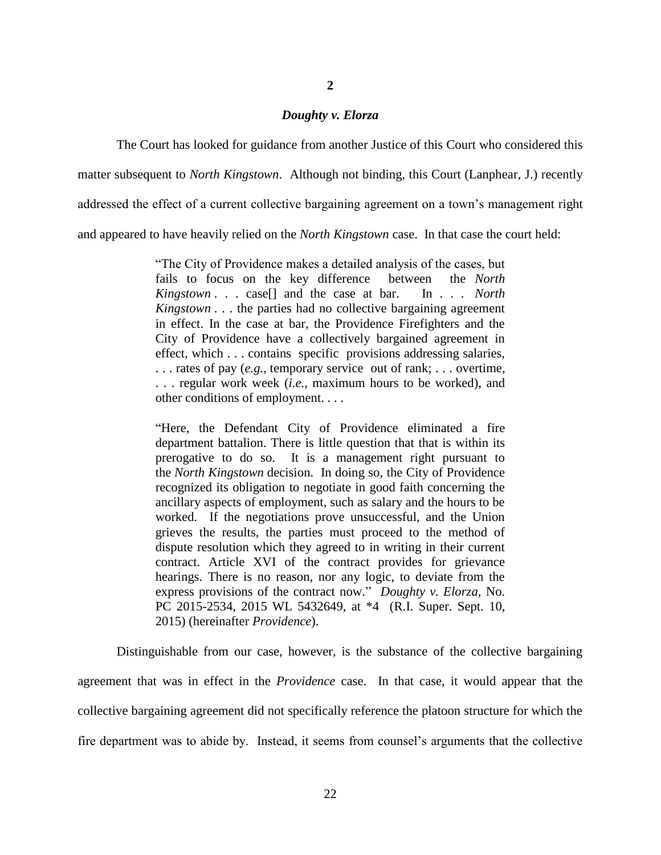#### *Doughty v. Elorza*

The Court has looked for guidance from another Justice of this Court who considered this matter subsequent to *North Kingstown*. Although not binding, this Court (Lanphear, J.) recently addressed the effect of a current collective bargaining agreement on a town's management right and appeared to have heavily relied on the *North Kingstown* case. In that case the court held:

> "The City of Providence makes a detailed analysis of the cases, but fails to focus on the key difference between the *North Kingstown* . . . case[] and the case at bar. In . . . *North Kingstown* . . . the parties had no collective bargaining agreement in effect. In the case at bar, the Providence Firefighters and the City of Providence have a collectively bargained agreement in effect, which . . . contains specific provisions addressing salaries, . . . rates of pay (*e.g.*, temporary service out of rank; . . . overtime, . . . regular work week (*i.e.*, maximum hours to be worked), and other conditions of employment. . . .

> "Here, the Defendant City of Providence eliminated a fire department battalion. There is little question that that is within its prerogative to do so. It is a management right pursuant to the *North Kingstown* decision. In doing so, the City of Providence recognized its obligation to negotiate in good faith concerning the ancillary aspects of employment, such as salary and the hours to be worked. If the negotiations prove unsuccessful, and the Union grieves the results, the parties must proceed to the method of dispute resolution which they agreed to in writing in their current contract. Article XVI of the contract provides for grievance hearings. There is no reason, nor any logic, to deviate from the express provisions of the contract now." *Doughty v. Elorza,* No. PC 2015-2534, 2015 WL 5432649, at \*4 (R.I. Super. Sept. 10, 2015) (hereinafter *Providence*).

Distinguishable from our case, however, is the substance of the collective bargaining agreement that was in effect in the *Providence* case. In that case, it would appear that the collective bargaining agreement did not specifically reference the platoon structure for which the fire department was to abide by. Instead, it seems from counsel's arguments that the collective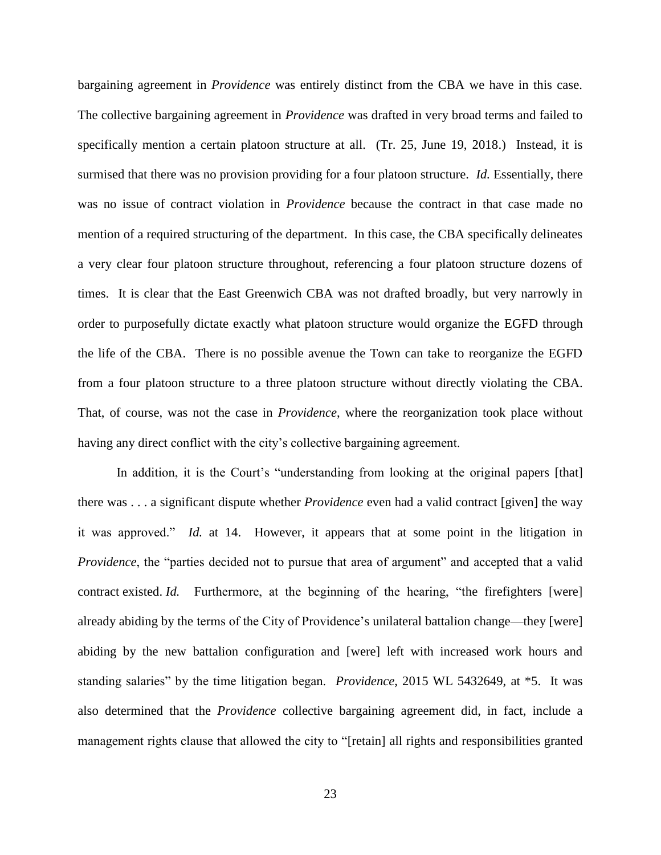bargaining agreement in *Providence* was entirely distinct from the CBA we have in this case. The collective bargaining agreement in *Providence* was drafted in very broad terms and failed to specifically mention a certain platoon structure at all. (Tr. 25, June 19, 2018.) Instead, it is surmised that there was no provision providing for a four platoon structure. *Id.* Essentially, there was no issue of contract violation in *Providence* because the contract in that case made no mention of a required structuring of the department. In this case, the CBA specifically delineates a very clear four platoon structure throughout, referencing a four platoon structure dozens of times. It is clear that the East Greenwich CBA was not drafted broadly, but very narrowly in order to purposefully dictate exactly what platoon structure would organize the EGFD through the life of the CBA. There is no possible avenue the Town can take to reorganize the EGFD from a four platoon structure to a three platoon structure without directly violating the CBA. That, of course, was not the case in *Providence*, where the reorganization took place without having any direct conflict with the city's collective bargaining agreement.

In addition, it is the Court's "understanding from looking at the original papers [that] there was . . . a significant dispute whether *Providence* even had a valid contract [given] the way it was approved." *Id.* at 14. However, it appears that at some point in the litigation in *Providence*, the "parties decided not to pursue that area of argument" and accepted that a valid contract existed. *Id.* Furthermore, at the beginning of the hearing, "the firefighters [were] already abiding by the terms of the City of Providence's unilateral battalion change—they [were] abiding by the new battalion configuration and [were] left with increased work hours and standing salaries" by the time litigation began. *Providence*, 2015 WL 5432649, at \*5. It was also determined that the *Providence* collective bargaining agreement did, in fact, include a management rights clause that allowed the city to "[retain] all rights and responsibilities granted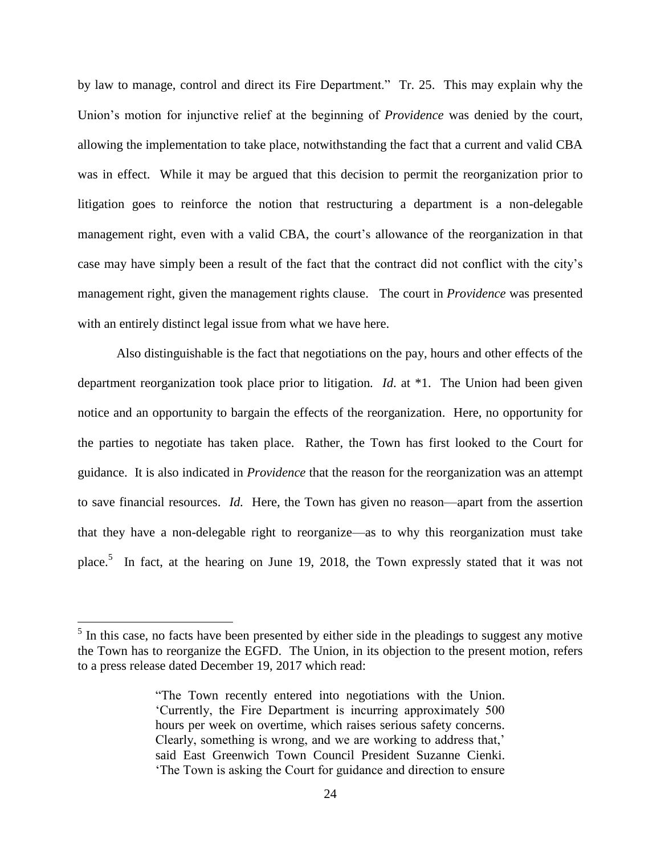by law to manage, control and direct its Fire Department." Tr. 25.This may explain why the Union's motion for injunctive relief at the beginning of *Providence* was denied by the court, allowing the implementation to take place, notwithstanding the fact that a current and valid CBA was in effect. While it may be argued that this decision to permit the reorganization prior to litigation goes to reinforce the notion that restructuring a department is a non-delegable management right, even with a valid CBA, the court's allowance of the reorganization in that case may have simply been a result of the fact that the contract did not conflict with the city's management right, given the management rights clause. The court in *Providence* was presented with an entirely distinct legal issue from what we have here.

Also distinguishable is the fact that negotiations on the pay, hours and other effects of the department reorganization took place prior to litigation*. Id*. at \*1. The Union had been given notice and an opportunity to bargain the effects of the reorganization. Here, no opportunity for the parties to negotiate has taken place. Rather, the Town has first looked to the Court for guidance. It is also indicated in *Providence* that the reason for the reorganization was an attempt to save financial resources. *Id.* Here, the Town has given no reason—apart from the assertion that they have a non-delegable right to reorganize—as to why this reorganization must take place.<sup>5</sup> In fact, at the hearing on June 19, 2018, the Town expressly stated that it was not

 $\overline{a}$ 

 $<sup>5</sup>$  In this case, no facts have been presented by either side in the pleadings to suggest any motive</sup> the Town has to reorganize the EGFD. The Union, in its objection to the present motion, refers to a press release dated December 19, 2017 which read:

<sup>&</sup>quot;The Town recently entered into negotiations with the Union. 'Currently, the Fire Department is incurring approximately 500 hours per week on overtime, which raises serious safety concerns. Clearly, something is wrong, and we are working to address that,' said East Greenwich Town Council President Suzanne Cienki. 'The Town is asking the Court for guidance and direction to ensure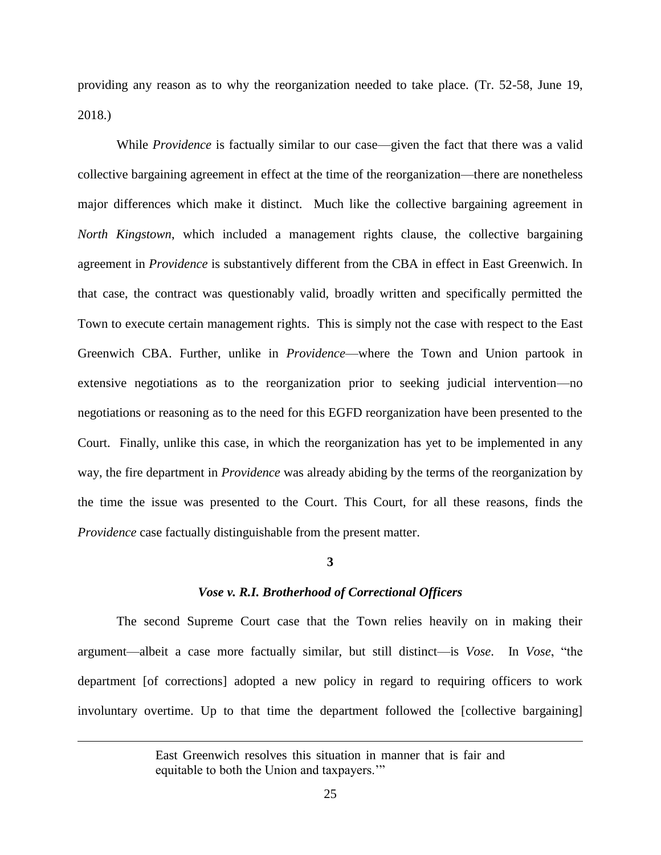providing any reason as to why the reorganization needed to take place. (Tr. 52-58, June 19, 2018.)

While *Providence* is factually similar to our case—given the fact that there was a valid collective bargaining agreement in effect at the time of the reorganization—there are nonetheless major differences which make it distinct. Much like the collective bargaining agreement in *North Kingstown*, which included a management rights clause, the collective bargaining agreement in *Providence* is substantively different from the CBA in effect in East Greenwich. In that case, the contract was questionably valid, broadly written and specifically permitted the Town to execute certain management rights. This is simply not the case with respect to the East Greenwich CBA. Further, unlike in *Providence*—where the Town and Union partook in extensive negotiations as to the reorganization prior to seeking judicial intervention—no negotiations or reasoning as to the need for this EGFD reorganization have been presented to the Court. Finally, unlike this case, in which the reorganization has yet to be implemented in any way, the fire department in *Providence* was already abiding by the terms of the reorganization by the time the issue was presented to the Court. This Court, for all these reasons, finds the *Providence* case factually distinguishable from the present matter.

#### **3**

#### *Vose v. R.I. Brotherhood of Correctional Officers*

The second Supreme Court case that the Town relies heavily on in making their argument—albeit a case more factually similar, but still distinct—is *Vose*. In *Vose*, "the department [of corrections] adopted a new policy in regard to requiring officers to work involuntary overtime. Up to that time the department followed the [collective bargaining]

 $\overline{a}$ 

East Greenwich resolves this situation in manner that is fair and equitable to both the Union and taxpayers.'"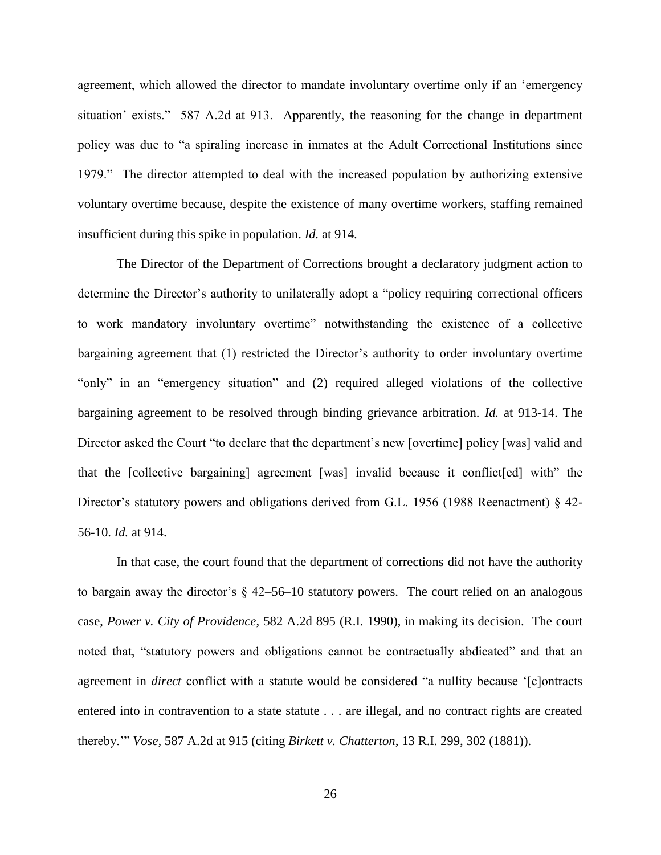agreement, which allowed the director to mandate involuntary overtime only if an 'emergency situation' exists." 587 A.2d at 913. Apparently, the reasoning for the change in department policy was due to "a spiraling increase in inmates at the Adult Correctional Institutions since 1979." The director attempted to deal with the increased population by authorizing extensive voluntary overtime because, despite the existence of many overtime workers, staffing remained insufficient during this spike in population. *Id.* at 914.

The Director of the Department of Corrections brought a declaratory judgment action to determine the Director's authority to unilaterally adopt a "policy requiring correctional officers to work mandatory involuntary overtime" notwithstanding the existence of a collective bargaining agreement that (1) restricted the Director's authority to order involuntary overtime "only" in an "emergency situation" and (2) required alleged violations of the collective bargaining agreement to be resolved through binding grievance arbitration. *Id.* at 913-14. The Director asked the Court "to declare that the department's new [overtime] policy [was] valid and that the [collective bargaining] agreement [was] invalid because it conflict[ed] with" the Director's statutory powers and obligations derived from G.L. 1956 (1988 Reenactment) § 42-56-10. *Id.* at 914.

In that case, the court found that the department of corrections did not have the authority to bargain away the director's § 42–56–10 statutory powers. The court relied on an analogous case, *Power v. City of Providence*, 582 A.2d 895 (R.I. 1990), in making its decision. The court noted that, "statutory powers and obligations cannot be contractually abdicated" and that an agreement in *direct* conflict with a statute would be considered "a nullity because '[c]ontracts entered into in contravention to a state statute . . . are illegal, and no contract rights are created thereby.'" *Vose,* 587 A.2d at 915 (citing *Birkett v. Chatterton*, 13 R.I. 299, 302 (1881)).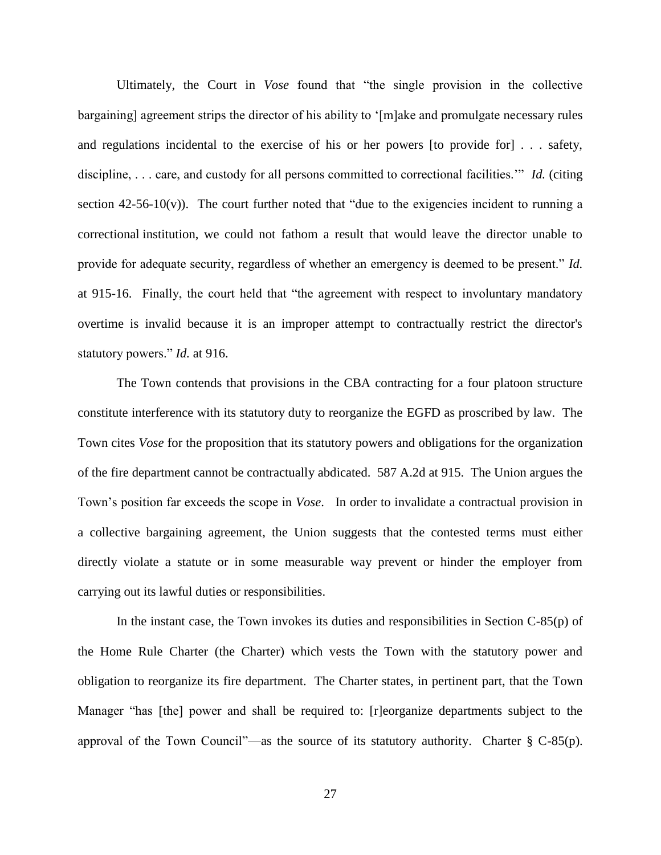Ultimately, the Court in *Vose* found that "the single provision in the collective bargaining] agreement strips the director of his ability to '[m]ake and promulgate necessary rules and regulations incidental to the exercise of his or her powers [to provide for] . . . safety, discipline, . . . care, and custody for all persons committed to correctional facilities.'" *Id.* (citing section  $42-56-10(v)$ ). The court further noted that "due to the exigencies incident to running a correctional institution, we could not fathom a result that would leave the director unable to provide for adequate security, regardless of whether an emergency is deemed to be present." *Id.* at 915-16. Finally, the court held that "the agreement with respect to involuntary mandatory overtime is invalid because it is an improper attempt to contractually restrict the director's statutory powers." *Id.* at 916.

The Town contends that provisions in the CBA contracting for a four platoon structure constitute interference with its statutory duty to reorganize the EGFD as proscribed by law. The Town cites *Vose* for the proposition that its statutory powers and obligations for the organization of the fire department cannot be contractually abdicated. 587 A.2d at 915. The Union argues the Town's position far exceeds the scope in *Vose*. In order to invalidate a contractual provision in a collective bargaining agreement, the Union suggests that the contested terms must either directly violate a statute or in some measurable way prevent or hinder the employer from carrying out its lawful duties or responsibilities.

In the instant case, the Town invokes its duties and responsibilities in Section C-85(p) of the Home Rule Charter (the Charter) which vests the Town with the statutory power and obligation to reorganize its fire department. The Charter states, in pertinent part, that the Town Manager "has [the] power and shall be required to: [r]eorganize departments subject to the approval of the Town Council"—as the source of its statutory authority. Charter  $\S$  C-85(p).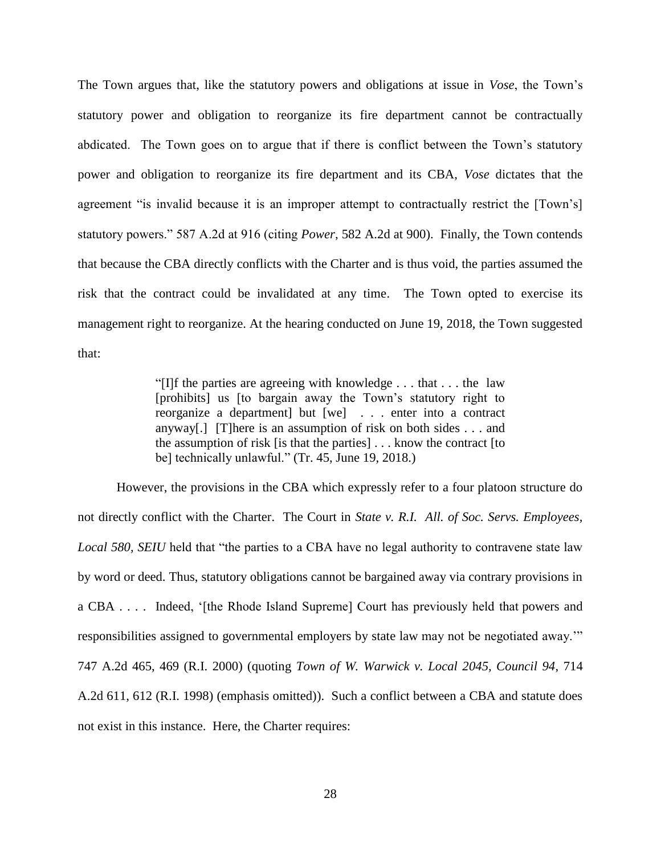The Town argues that, like the statutory powers and obligations at issue in *Vose*, the Town's statutory power and obligation to reorganize its fire department cannot be contractually abdicated. The Town goes on to argue that if there is conflict between the Town's statutory power and obligation to reorganize its fire department and its CBA, *Vose* dictates that the agreement "is invalid because it is an improper attempt to contractually restrict the [Town's] statutory powers." 587 A.2d at 916 (citing *Power*, 582 A.2d at 900). Finally, the Town contends that because the CBA directly conflicts with the Charter and is thus void, the parties assumed the risk that the contract could be invalidated at any time. The Town opted to exercise its management right to reorganize. At the hearing conducted on June 19, 2018, the Town suggested that:

> "[I]f the parties are agreeing with knowledge . . . that . . . the law [prohibits] us [to bargain away the Town's statutory right to reorganize a department] but [we] . . . enter into a contract anyway[.] [T]here is an assumption of risk on both sides . . . and the assumption of risk [is that the parties] . . . know the contract [to be] technically unlawful." (Tr. 45, June 19, 2018.)

However, the provisions in the CBA which expressly refer to a four platoon structure do not directly conflict with the Charter. The Court in *State v. R.I. All. of Soc. Servs. Employees, Local 580, SEIU* held that "the parties to a CBA have no legal authority to contravene state law by word or deed. Thus, statutory obligations cannot be bargained away via contrary provisions in a CBA . . . . Indeed, '[the Rhode Island Supreme] Court has previously held that powers and responsibilities assigned to governmental employers by state law may not be negotiated away.'" 747 A.2d 465, 469 (R.I. 2000) (quoting *Town of W. Warwick v. Local 2045, Council 94*, 714 A.2d 611, 612 (R.I. 1998) (emphasis omitted)). Such a conflict between a CBA and statute does not exist in this instance. Here, the Charter requires: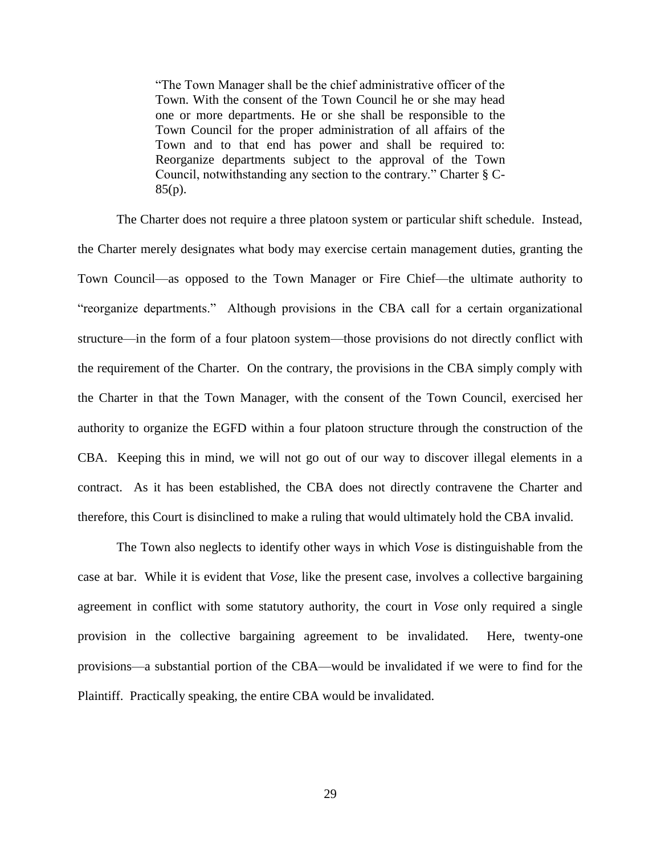"The Town Manager shall be the chief administrative officer of the Town. With the consent of the Town Council he or she may head one or more departments. He or she shall be responsible to the Town Council for the proper administration of all affairs of the Town and to that end has power and shall be required to: Reorganize departments subject to the approval of the Town Council, notwithstanding any section to the contrary." Charter § C-85(p).

The Charter does not require a three platoon system or particular shift schedule. Instead, the Charter merely designates what body may exercise certain management duties, granting the Town Council—as opposed to the Town Manager or Fire Chief—the ultimate authority to "reorganize departments." Although provisions in the CBA call for a certain organizational structure—in the form of a four platoon system—those provisions do not directly conflict with the requirement of the Charter. On the contrary, the provisions in the CBA simply comply with the Charter in that the Town Manager, with the consent of the Town Council, exercised her authority to organize the EGFD within a four platoon structure through the construction of the CBA. Keeping this in mind, we will not go out of our way to discover illegal elements in a contract. As it has been established, the CBA does not directly contravene the Charter and therefore, this Court is disinclined to make a ruling that would ultimately hold the CBA invalid.

The Town also neglects to identify other ways in which *Vose* is distinguishable from the case at bar. While it is evident that *Vose*, like the present case, involves a collective bargaining agreement in conflict with some statutory authority, the court in *Vose* only required a single provision in the collective bargaining agreement to be invalidated. Here, twenty-one provisions—a substantial portion of the CBA—would be invalidated if we were to find for the Plaintiff. Practically speaking, the entire CBA would be invalidated.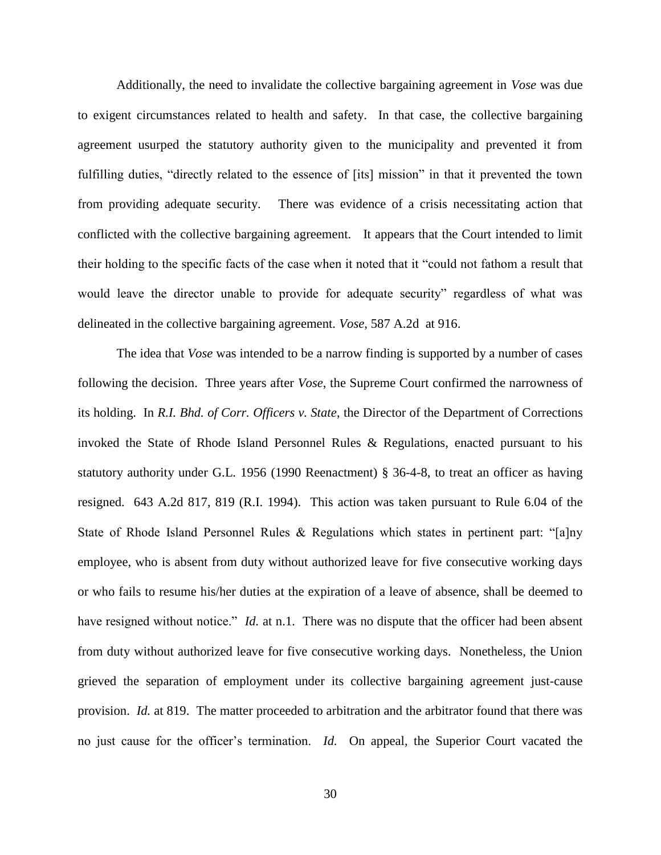Additionally, the need to invalidate the collective bargaining agreement in *Vose* was due to exigent circumstances related to health and safety. In that case, the collective bargaining agreement usurped the statutory authority given to the municipality and prevented it from fulfilling duties, "directly related to the essence of [its] mission" in that it prevented the town from providing adequate security. There was evidence of a crisis necessitating action that conflicted with the collective bargaining agreement. It appears that the Court intended to limit their holding to the specific facts of the case when it noted that it "could not fathom a result that would leave the director unable to provide for adequate security" regardless of what was delineated in the collective bargaining agreement. *Vose*, 587 A.2d at 916.

The idea that *Vose* was intended to be a narrow finding is supported by a number of cases following the decision. Three years after *Vose*, the Supreme Court confirmed the narrowness of its holding. In *R.I. Bhd. of Corr. Officers v. State*, the Director of the Department of Corrections invoked the State of Rhode Island Personnel Rules & Regulations, enacted pursuant to his statutory authority under G.L. 1956 (1990 Reenactment) § 36-4-8, to treat an officer as having resigned. 643 A.2d 817, 819 (R.I. 1994). This action was taken pursuant to Rule 6.04 of the State of Rhode Island Personnel Rules & Regulations which states in pertinent part: "[a]ny employee, who is absent from duty without authorized leave for five consecutive working days or who fails to resume his/her duties at the expiration of a leave of absence, shall be deemed to have resigned without notice." *Id.* at n.1. There was no dispute that the officer had been absent from duty without authorized leave for five consecutive working days. Nonetheless, the Union grieved the separation of employment under its collective bargaining agreement just-cause provision. *Id.* at 819. The matter proceeded to arbitration and the arbitrator found that there was no just cause for the officer's termination. *Id.* On appeal, the Superior Court vacated the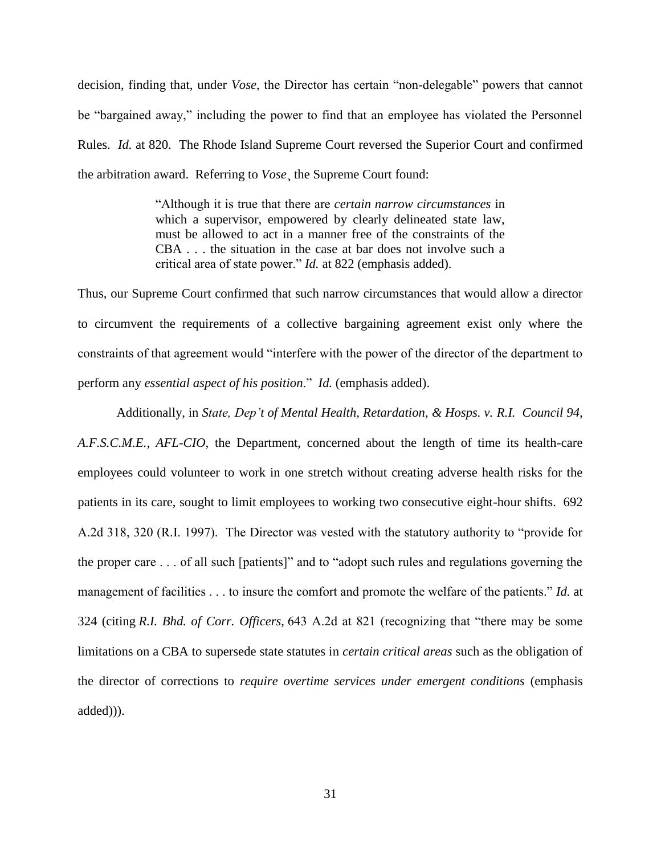decision, finding that, under *Vose*, the Director has certain "non-delegable" powers that cannot be "bargained away," including the power to find that an employee has violated the Personnel Rules. *Id.* at 820. The Rhode Island Supreme Court reversed the Superior Court and confirmed the arbitration award. Referring to *Vose*¸ the Supreme Court found:

> "Although it is true that there are *certain narrow circumstances* in which a supervisor, empowered by clearly delineated state law, must be allowed to act in a manner free of the constraints of the CBA . . . the situation in the case at bar does not involve such a critical area of state power." *Id.* at 822 (emphasis added).

Thus, our Supreme Court confirmed that such narrow circumstances that would allow a director to circumvent the requirements of a collective bargaining agreement exist only where the constraints of that agreement would "interfere with the power of the director of the department to perform any *essential aspect of his position*." *Id.* (emphasis added).

Additionally, in *State, Dep't of Mental Health, Retardation, & Hosps. v. R.I. Council 94, A.F.S.C.M.E., AFL-CIO*, the Department, concerned about the length of time its health-care employees could volunteer to work in one stretch without creating adverse health risks for the patients in its care, sought to limit employees to working two consecutive eight-hour shifts. 692 A.2d 318, 320 (R.I. 1997). The Director was vested with the statutory authority to "provide for the proper care . . . of all such [patients]" and to "adopt such rules and regulations governing the management of facilities . . . to insure the comfort and promote the welfare of the patients." *Id.* at 324 (citing *R.I. Bhd. of Corr. Officers,* 643 A.2d at 821 (recognizing that "there may be some limitations on a CBA to supersede state statutes in *certain critical areas* such as the obligation of the director of corrections to *require overtime services under emergent conditions* (emphasis added))).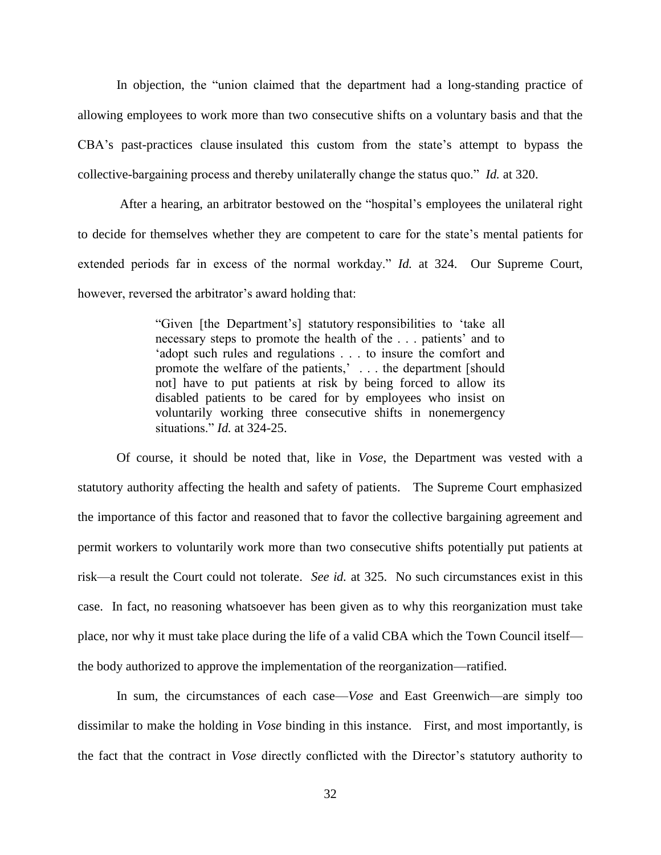In objection, the "union claimed that the department had a long-standing practice of allowing employees to work more than two consecutive shifts on a voluntary basis and that the CBA's past-practices clause insulated this custom from the state's attempt to bypass the collective-bargaining process and thereby unilaterally change the status quo." *Id.* at 320.

After a hearing, an arbitrator bestowed on the "hospital's employees the unilateral right to decide for themselves whether they are competent to care for the state's mental patients for extended periods far in excess of the normal workday." *Id.* at 324. Our Supreme Court, however, reversed the arbitrator's award holding that:

> "Given [the Department's] statutory responsibilities to 'take all necessary steps to promote the health of the . . . patients' and to 'adopt such rules and regulations . . . to insure the comfort and promote the welfare of the patients,' . . . the department [should not] have to put patients at risk by being forced to allow its disabled patients to be cared for by employees who insist on voluntarily working three consecutive shifts in nonemergency situations." *Id.* at 324-25.

Of course, it should be noted that, like in *Vose*, the Department was vested with a statutory authority affecting the health and safety of patients. The Supreme Court emphasized the importance of this factor and reasoned that to favor the collective bargaining agreement and permit workers to voluntarily work more than two consecutive shifts potentially put patients at risk—a result the Court could not tolerate. *See id.* at 325. No such circumstances exist in this case. In fact, no reasoning whatsoever has been given as to why this reorganization must take place, nor why it must take place during the life of a valid CBA which the Town Council itself the body authorized to approve the implementation of the reorganization—ratified.

In sum, the circumstances of each case—*Vose* and East Greenwich—are simply too dissimilar to make the holding in *Vose* binding in this instance. First, and most importantly, is the fact that the contract in *Vose* directly conflicted with the Director's statutory authority to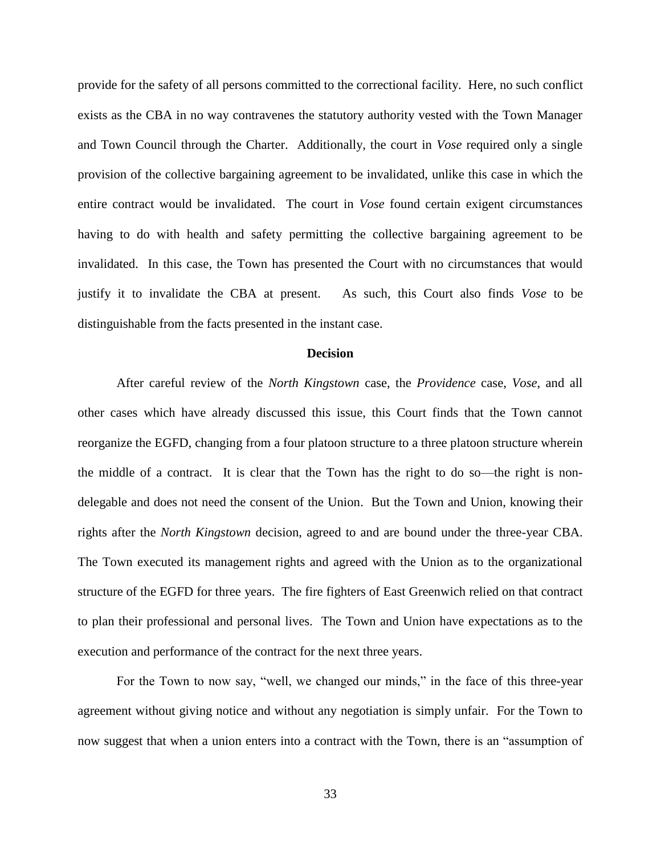provide for the safety of all persons committed to the correctional facility. Here, no such conflict exists as the CBA in no way contravenes the statutory authority vested with the Town Manager and Town Council through the Charter. Additionally, the court in *Vose* required only a single provision of the collective bargaining agreement to be invalidated, unlike this case in which the entire contract would be invalidated. The court in *Vose* found certain exigent circumstances having to do with health and safety permitting the collective bargaining agreement to be invalidated. In this case, the Town has presented the Court with no circumstances that would justify it to invalidate the CBA at present. As such, this Court also finds *Vose* to be distinguishable from the facts presented in the instant case.

#### **Decision**

After careful review of the *North Kingstown* case, the *Providence* case, *Vose*, and all other cases which have already discussed this issue, this Court finds that the Town cannot reorganize the EGFD, changing from a four platoon structure to a three platoon structure wherein the middle of a contract. It is clear that the Town has the right to do so—the right is nondelegable and does not need the consent of the Union. But the Town and Union, knowing their rights after the *North Kingstown* decision, agreed to and are bound under the three-year CBA. The Town executed its management rights and agreed with the Union as to the organizational structure of the EGFD for three years. The fire fighters of East Greenwich relied on that contract to plan their professional and personal lives. The Town and Union have expectations as to the execution and performance of the contract for the next three years.

For the Town to now say, "well, we changed our minds," in the face of this three-year agreement without giving notice and without any negotiation is simply unfair. For the Town to now suggest that when a union enters into a contract with the Town, there is an "assumption of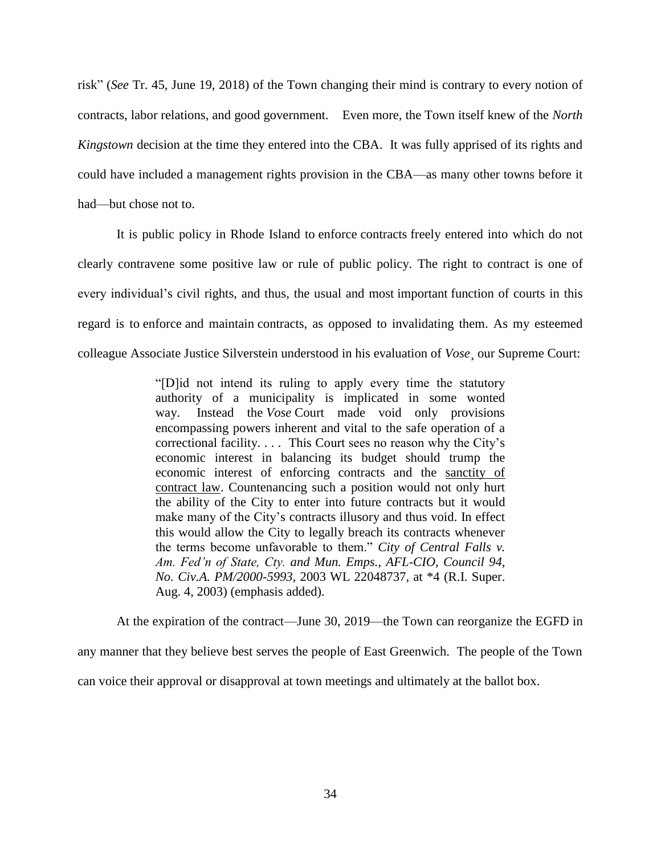risk" (*See* Tr. 45, June 19, 2018) of the Town changing their mind is contrary to every notion of contracts, labor relations, and good government. Even more, the Town itself knew of the *North Kingstown* decision at the time they entered into the CBA. It was fully apprised of its rights and could have included a management rights provision in the CBA—as many other towns before it had—but chose not to.

It is public policy in Rhode Island to enforce contracts freely entered into which do not clearly contravene some positive law or rule of public policy. The right to contract is one of every individual's civil rights, and thus, the usual and most important function of courts in this regard is to enforce and maintain contracts, as opposed to invalidating them. As my esteemed colleague Associate Justice Silverstein understood in his evaluation of *Vose*¸ our Supreme Court:

> "[D]id not intend its ruling to apply every time the statutory authority of a municipality is implicated in some wonted way. Instead the *Vose* Court made void only provisions encompassing powers inherent and vital to the safe operation of a correctional facility. . . . This Court sees no reason why the City's economic interest in balancing its budget should trump the economic interest of enforcing contracts and the sanctity of contract law. Countenancing such a position would not only hurt the ability of the City to enter into future contracts but it would make many of the City's contracts illusory and thus void. In effect this would allow the City to legally breach its contracts whenever the terms become unfavorable to them." *City of Central Falls v. Am. Fed'n of State, Cty. and Mun. Emps., AFL-CIO, Council 94, No. Civ.A. PM/2000-5993*, 2003 WL 22048737, at \*4 (R.I. Super. Aug. 4, 2003) (emphasis added).

At the expiration of the contract—June 30, 2019—the Town can reorganize the EGFD in any manner that they believe best serves the people of East Greenwich. The people of the Town can voice their approval or disapproval at town meetings and ultimately at the ballot box.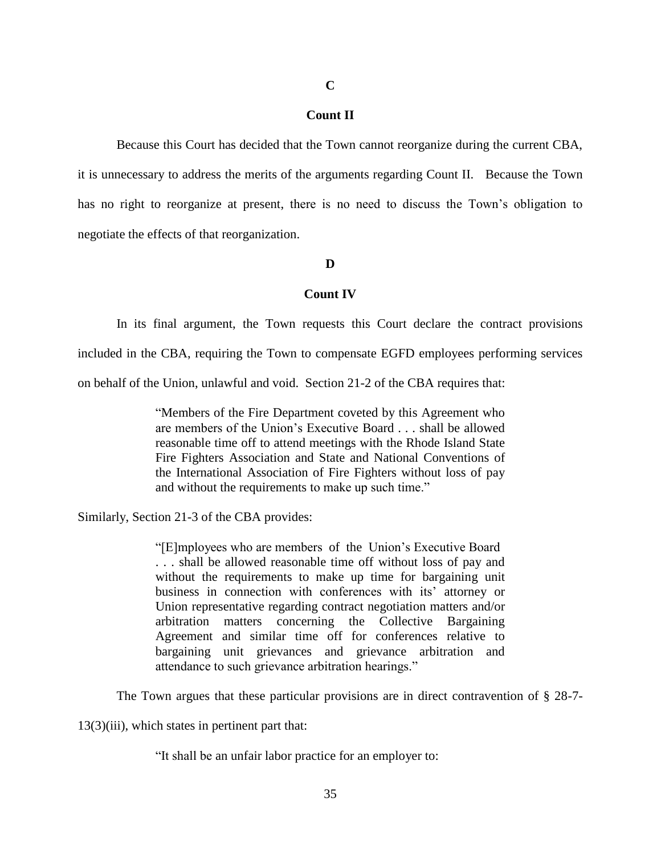# **C**

# **Count II**

Because this Court has decided that the Town cannot reorganize during the current CBA, it is unnecessary to address the merits of the arguments regarding Count II. Because the Town has no right to reorganize at present, there is no need to discuss the Town's obligation to negotiate the effects of that reorganization.

#### **D**

# **Count IV**

In its final argument, the Town requests this Court declare the contract provisions included in the CBA, requiring the Town to compensate EGFD employees performing services on behalf of the Union, unlawful and void. Section 21-2 of the CBA requires that:

> "Members of the Fire Department coveted by this Agreement who are members of the Union's Executive Board . . . shall be allowed reasonable time off to attend meetings with the Rhode Island State Fire Fighters Association and State and National Conventions of the International Association of Fire Fighters without loss of pay and without the requirements to make up such time."

Similarly, Section 21-3 of the CBA provides:

"[E]mployees who are members of the Union's Executive Board . . . shall be allowed reasonable time off without loss of pay and without the requirements to make up time for bargaining unit business in connection with conferences with its' attorney or Union representative regarding contract negotiation matters and/or arbitration matters concerning the Collective Bargaining Agreement and similar time off for conferences relative to bargaining unit grievances and grievance arbitration and attendance to such grievance arbitration hearings."

The Town argues that these particular provisions are in direct contravention of § 28-7-

13(3)(iii), which states in pertinent part that:

"It shall be an unfair labor practice for an employer to: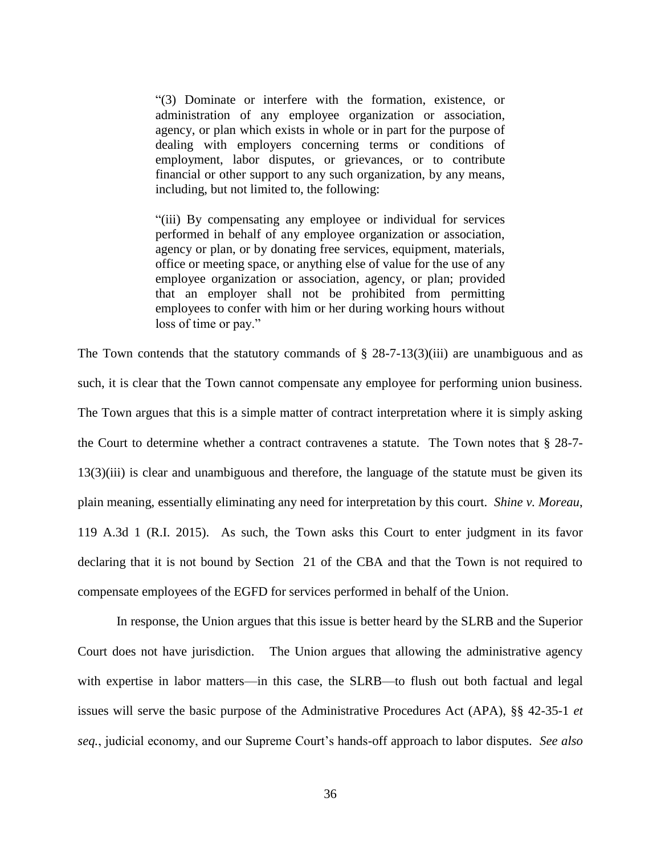"(3) Dominate or interfere with the formation, existence, or administration of any employee organization or association, agency, or plan which exists in whole or in part for the purpose of dealing with employers concerning terms or conditions of employment, labor disputes, or grievances, or to contribute financial or other support to any such organization, by any means, including, but not limited to, the following:

"(iii) By compensating any employee or individual for services performed in behalf of any employee organization or association, agency or plan, or by donating free services, equipment, materials, office or meeting space, or anything else of value for the use of any employee organization or association, agency, or plan; provided that an employer shall not be prohibited from permitting employees to confer with him or her during working hours without loss of time or pay."

The Town contends that the statutory commands of  $\S 28-7-13(3)(iii)$  are unambiguous and as such, it is clear that the Town cannot compensate any employee for performing union business. The Town argues that this is a simple matter of contract interpretation where it is simply asking the Court to determine whether a contract contravenes a statute. The Town notes that § 28-7- 13(3)(iii) is clear and unambiguous and therefore, the language of the statute must be given its plain meaning, essentially eliminating any need for interpretation by this court. *Shine v. Moreau*, 119 A.3d 1 (R.I. 2015). As such, the Town asks this Court to enter judgment in its favor declaring that it is not bound by Section 21 of the CBA and that the Town is not required to compensate employees of the EGFD for services performed in behalf of the Union.

In response, the Union argues that this issue is better heard by the SLRB and the Superior Court does not have jurisdiction. The Union argues that allowing the administrative agency with expertise in labor matters—in this case, the SLRB—to flush out both factual and legal issues will serve the basic purpose of the Administrative Procedures Act (APA), §§ 42-35-1 *et seq.*, judicial economy, and our Supreme Court's hands-off approach to labor disputes. *See also*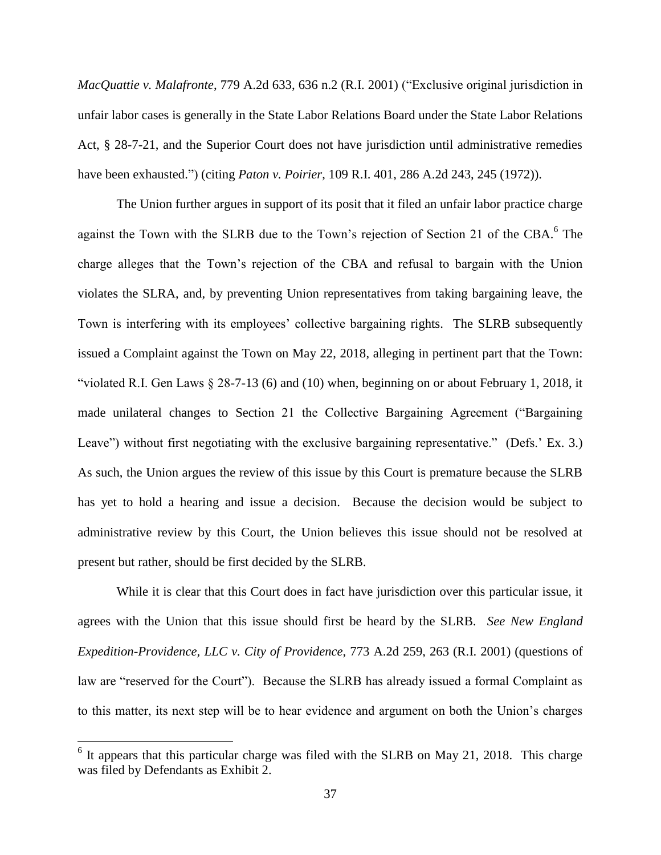*MacQuattie v. Malafronte*, 779 A.2d 633, 636 n.2 (R.I. 2001) ("Exclusive original jurisdiction in unfair labor cases is generally in the State Labor Relations Board under the State Labor Relations Act, § 28-7-21, and the Superior Court does not have jurisdiction until administrative remedies have been exhausted.") (citing *Paton v. Poirier*, 109 R.I. 401, 286 A.2d 243, 245 (1972)).

The Union further argues in support of its posit that it filed an unfair labor practice charge against the Town with the SLRB due to the Town's rejection of Section 21 of the CBA.<sup>6</sup> The charge alleges that the Town's rejection of the CBA and refusal to bargain with the Union violates the SLRA, and, by preventing Union representatives from taking bargaining leave, the Town is interfering with its employees' collective bargaining rights. The SLRB subsequently issued a Complaint against the Town on May 22, 2018, alleging in pertinent part that the Town: "violated R.I. Gen Laws § 28-7-13 (6) and (10) when, beginning on or about February 1, 2018, it made unilateral changes to Section 21 the Collective Bargaining Agreement ("Bargaining Leave") without first negotiating with the exclusive bargaining representative." (Defs.' Ex. 3.) As such, the Union argues the review of this issue by this Court is premature because the SLRB has yet to hold a hearing and issue a decision. Because the decision would be subject to administrative review by this Court, the Union believes this issue should not be resolved at present but rather, should be first decided by the SLRB.

While it is clear that this Court does in fact have jurisdiction over this particular issue, it agrees with the Union that this issue should first be heard by the SLRB. *See New England Expedition-Providence, LLC v. City of Providence*, 773 A.2d 259, 263 (R.I. 2001) (questions of law are "reserved for the Court"). Because the SLRB has already issued a formal Complaint as to this matter, its next step will be to hear evidence and argument on both the Union's charges

 $\overline{a}$ 

 $6$  It appears that this particular charge was filed with the SLRB on May 21, 2018. This charge was filed by Defendants as Exhibit 2.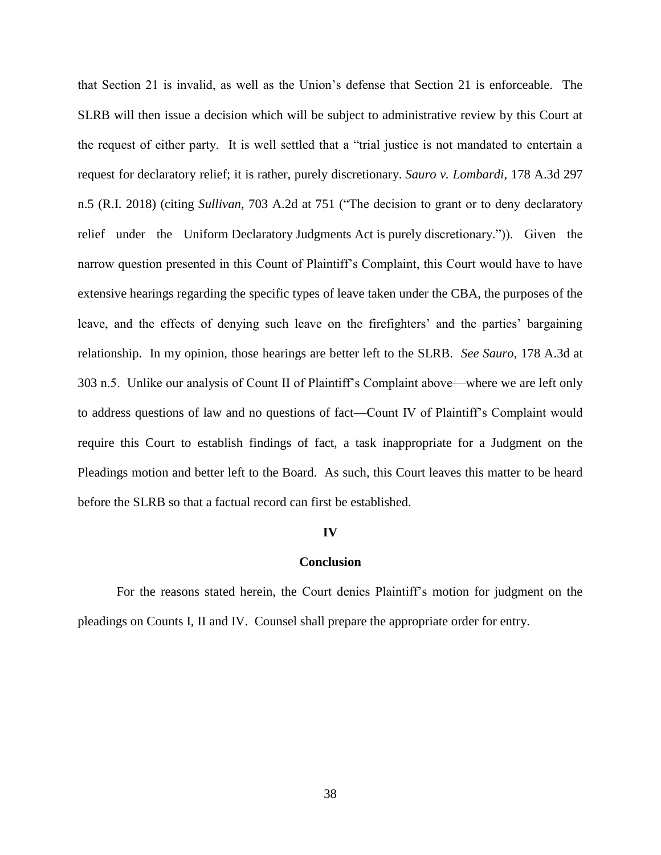that Section 21 is invalid, as well as the Union's defense that Section 21 is enforceable. The SLRB will then issue a decision which will be subject to administrative review by this Court at the request of either party. It is well settled that a "trial justice is not mandated to entertain a request for declaratory relief; it is rather, purely discretionary. *Sauro v. Lombardi*, 178 A.3d 297 n.5 (R.I. 2018) (citing *Sullivan*, 703 A.2d at 751 ("The decision to grant or to deny declaratory relief under the Uniform Declaratory Judgments Act is purely discretionary.")). Given the narrow question presented in this Count of Plaintiff's Complaint, this Court would have to have extensive hearings regarding the specific types of leave taken under the CBA, the purposes of the leave, and the effects of denying such leave on the firefighters' and the parties' bargaining relationship. In my opinion, those hearings are better left to the SLRB. *See Sauro*, 178 A.3d at 303 n.5. Unlike our analysis of Count II of Plaintiff's Complaint above—where we are left only to address questions of law and no questions of fact—Count IV of Plaintiff's Complaint would require this Court to establish findings of fact, a task inappropriate for a Judgment on the Pleadings motion and better left to the Board. As such, this Court leaves this matter to be heard before the SLRB so that a factual record can first be established.

# **IV**

# **Conclusion**

For the reasons stated herein, the Court denies Plaintiff's motion for judgment on the pleadings on Counts I, II and IV. Counsel shall prepare the appropriate order for entry.